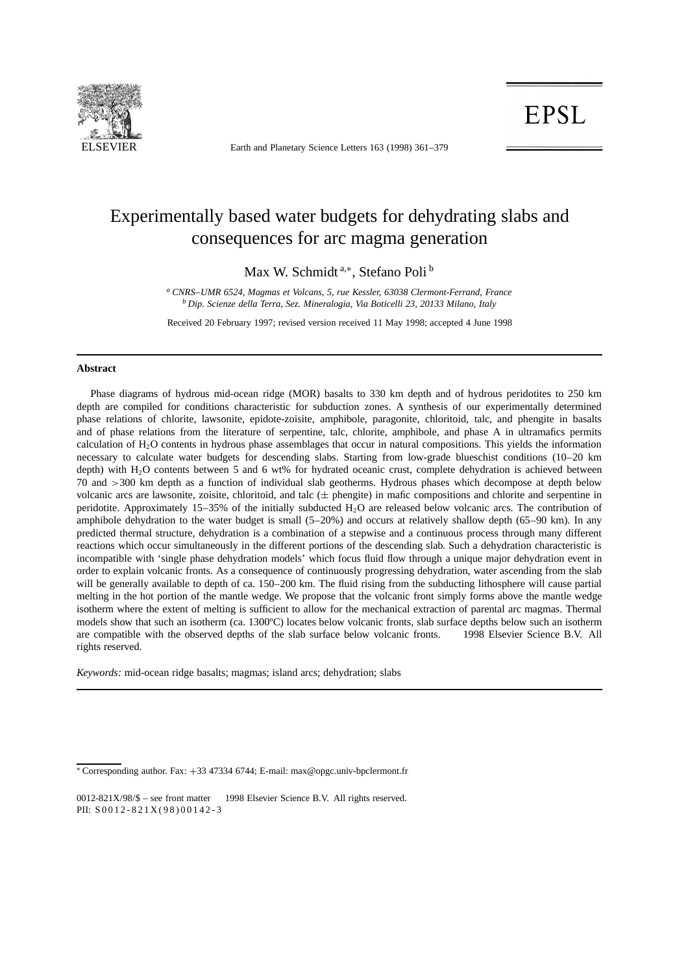

ELSEVIER Earth and Planetary Science Letters 163 (1998) 361–379

**EPSL** 

# Experimentally based water budgets for dehydrating slabs and consequences for arc magma generation

Max W. Schmidt<sup>a,\*</sup>, Stefano Poli<sup>b</sup>

*<sup>a</sup> CNRS–UMR 6524, Magmas et Volcans, 5, rue Kessler, 63038 Clermont-Ferrand, France <sup>b</sup> Dip. Scienze della Terra, Sez. Mineralogia, Via Boticelli 23, 20133 Milano, Italy*

Received 20 February 1997; revised version received 11 May 1998; accepted 4 June 1998

#### **Abstract**

Phase diagrams of hydrous mid-ocean ridge (MOR) basalts to 330 km depth and of hydrous peridotites to 250 km depth are compiled for conditions characteristic for subduction zones. A synthesis of our experimentally determined phase relations of chlorite, lawsonite, epidote-zoisite, amphibole, paragonite, chloritoid, talc, and phengite in basalts and of phase relations from the literature of serpentine, talc, chlorite, amphibole, and phase A in ultramafics permits calculation of  $H<sub>2</sub>O$  contents in hydrous phase assemblages that occur in natural compositions. This yields the information necessary to calculate water budgets for descending slabs. Starting from low-grade blueschist conditions (10–20 km depth) with  $H_2O$  contents between 5 and 6 wt% for hydrated oceanic crust, complete dehydration is achieved between 70 and >300 km depth as a function of individual slab geotherms. Hydrous phases which decompose at depth below volcanic arcs are lawsonite, zoisite, chloritoid, and talc  $(\pm$  phengite) in mafic compositions and chlorite and serpentine in peridotite. Approximately 15–35% of the initially subducted  $H_2O$  are released below volcanic arcs. The contribution of amphibole dehydration to the water budget is small (5–20%) and occurs at relatively shallow depth (65–90 km). In any predicted thermal structure, dehydration is a combination of a stepwise and a continuous process through many different reactions which occur simultaneously in the different portions of the descending slab. Such a dehydration characteristic is incompatible with 'single phase dehydration models' which focus fluid flow through a unique major dehydration event in order to explain volcanic fronts. As a consequence of continuously progressing dehydration, water ascending from the slab will be generally available to depth of ca. 150–200 km. The fluid rising from the subducting lithosphere will cause partial melting in the hot portion of the mantle wedge. We propose that the volcanic front simply forms above the mantle wedge isotherm where the extent of melting is sufficient to allow for the mechanical extraction of parental arc magmas. Thermal models show that such an isotherm (ca. 1300ºC) locates below volcanic fronts, slab surface depths below such an isotherm are compatible with the observed depths of the slab surface below volcanic fronts.  $\odot$  1998 Elsevier Science B.V. All rights reserved.

*Keywords:* mid-ocean ridge basalts; magmas; island arcs; dehydration; slabs

<sup>\*</sup> Corresponding author. Fax: +33 47334 6744; E-mail: max@opgc.univ-bpclermont.fr

<sup>0012-821</sup>X/98/\$ – see front matter  $\odot$  1998 Elsevier Science B.V. All rights reserved. PII:  $S 0 0 1 2 - 8 2 1 X (98) 0 0 1 4 2 - 3$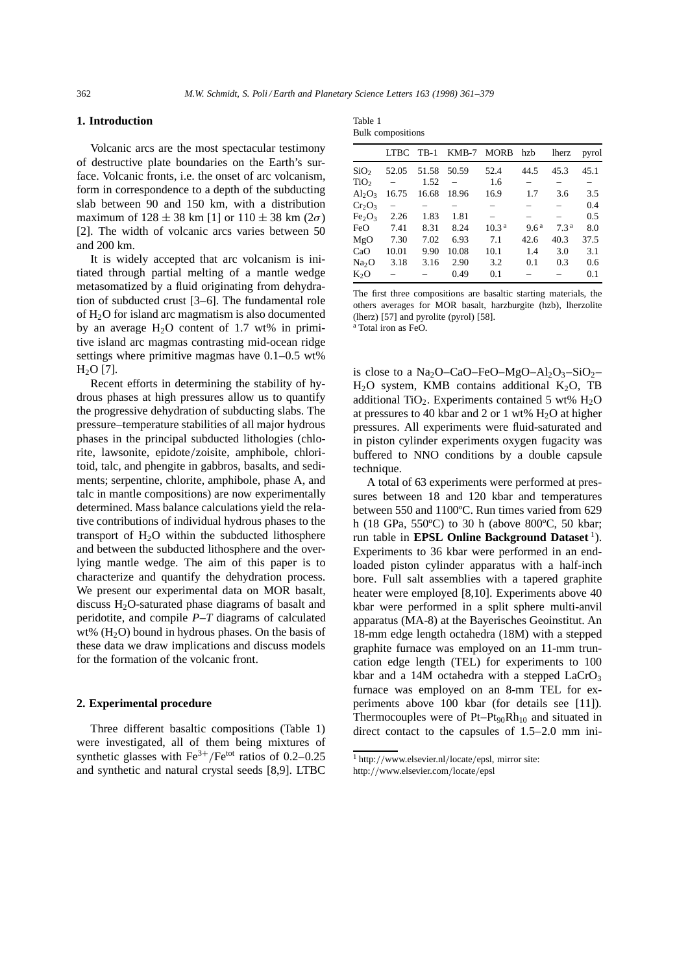## **1. Introduction**

Volcanic arcs are the most spectacular testimony of destructive plate boundaries on the Earth's surface. Volcanic fronts, i.e. the onset of arc volcanism, form in correspondence to a depth of the subducting slab between 90 and 150 km, with a distribution maximum of  $128 \pm 38$  km [1] or  $110 \pm 38$  km ( $2\sigma$ ) [2]. The width of volcanic arcs varies between 50 and 200 km.

It is widely accepted that arc volcanism is initiated through partial melting of a mantle wedge metasomatized by a fluid originating from dehydration of subducted crust [3–6]. The fundamental role of  $H_2O$  for island arc magmatism is also documented by an average  $H_2O$  content of 1.7 wt% in primitive island arc magmas contrasting mid-ocean ridge settings where primitive magmas have 0.1–0.5 wt%  $H<sub>2</sub>O$  [7].

Recent efforts in determining the stability of hydrous phases at high pressures allow us to quantify the progressive dehydration of subducting slabs. The pressure–temperature stabilities of all major hydrous phases in the principal subducted lithologies (chlorite, lawsonite, epidote/zoisite, amphibole, chloritoid, talc, and phengite in gabbros, basalts, and sediments; serpentine, chlorite, amphibole, phase A, and talc in mantle compositions) are now experimentally determined. Mass balance calculations yield the relative contributions of individual hydrous phases to the transport of  $H_2O$  within the subducted lithosphere and between the subducted lithosphere and the overlying mantle wedge. The aim of this paper is to characterize and quantify the dehydration process. We present our experimental data on MOR basalt, discuss  $H_2O$ -saturated phase diagrams of basalt and peridotite, and compile *P–T* diagrams of calculated wt%  $(H<sub>2</sub>O)$  bound in hydrous phases. On the basis of these data we draw implications and discuss models for the formation of the volcanic front.

## **2. Experimental procedure**

Three different basaltic compositions (Table 1) were investigated, all of them being mixtures of synthetic glasses with  $Fe^{3+}/Fe^{tot}$  ratios of 0.2–0.25 and synthetic and natural crystal seeds [8,9]. LTBC

| Table 1                  |
|--------------------------|
| <b>Bulk</b> compositions |

|                                | <b>LTBC</b> | $TB-1$ | $KMB-7$ | <b>MORB</b>       | hzb              | lherz            | pyrol |
|--------------------------------|-------------|--------|---------|-------------------|------------------|------------------|-------|
| SiO <sub>2</sub>               | 52.05       | 51.58  | 50.59   | 52.4              | 44.5             | 45.3             | 45.1  |
| TiO <sub>2</sub>               |             | 1.52   |         | 1.6               |                  |                  |       |
| $Al_2O_3$                      | 16.75       | 16.68  | 18.96   | 16.9              | 1.7              | 3.6              | 3.5   |
| $Cr_2O_3$                      |             |        |         |                   |                  |                  | 0.4   |
| Fe <sub>2</sub> O <sub>3</sub> | 2.26        | 1.83   | 1.81    |                   |                  |                  | 0.5   |
| FeO                            | 7.41        | 8.31   | 8.24    | 10.3 <sup>a</sup> | 9.6 <sup>a</sup> | 7.3 <sup>a</sup> | 8.0   |
| MgO                            | 7.30        | 7.02   | 6.93    | 7.1               | 42.6             | 40.3             | 37.5  |
| CaO                            | 10.01       | 9.90   | 10.08   | 10.1              | 1.4              | 3.0              | 3.1   |
| Na <sub>2</sub> O              | 3.18        | 3.16   | 2.90    | 3.2               | 0.1              | 0.3              | 0.6   |
| $K_2O$                         |             |        | 0.49    | 0.1               |                  |                  | 0.1   |

The first three compositions are basaltic starting materials, the others averages for MOR basalt, harzburgite (hzb), lherzolite (lherz) [57] and pyrolite (pyrol) [58].

<sup>a</sup> Total iron as FeO.

is close to a  $Na<sub>2</sub>O$ –CaO–FeO–MgO–Al<sub>2</sub>O<sub>3</sub>–SiO<sub>2</sub>–  $H<sub>2</sub>O$  system, KMB contains additional K<sub>2</sub>O, TB additional TiO<sub>2</sub>. Experiments contained 5 wt%  $H_2O$ at pressures to 40 kbar and 2 or 1 wt%  $H_2O$  at higher pressures. All experiments were fluid-saturated and in piston cylinder experiments oxygen fugacity was buffered to NNO conditions by a double capsule technique.

A total of 63 experiments were performed at pressures between 18 and 120 kbar and temperatures between 550 and 1100ºC. Run times varied from 629 h (18 GPa, 550ºC) to 30 h (above 800ºC, 50 kbar; run table in **EPSL Online Background Dataset**<sup>1</sup>). Experiments to 36 kbar were performed in an endloaded piston cylinder apparatus with a half-inch bore. Full salt assemblies with a tapered graphite heater were employed [8,10]. Experiments above 40 kbar were performed in a split sphere multi-anvil apparatus (MA-8) at the Bayerisches Geoinstitut. An 18-mm edge length octahedra (18M) with a stepped graphite furnace was employed on an 11-mm truncation edge length (TEL) for experiments to 100 kbar and a 14M octahedra with a stepped  $LaCrO<sub>3</sub>$ furnace was employed on an 8-mm TEL for experiments above 100 kbar (for details see [11]). Thermocouples were of  $Pt-Pt_{90}Rh_{10}$  and situated in direct contact to the capsules of 1.5–2.0 mm ini-

 $1$  http://www.elsevier.nl/locate/epsl, mirror site:

http://www.elsevier.com/locate/epsl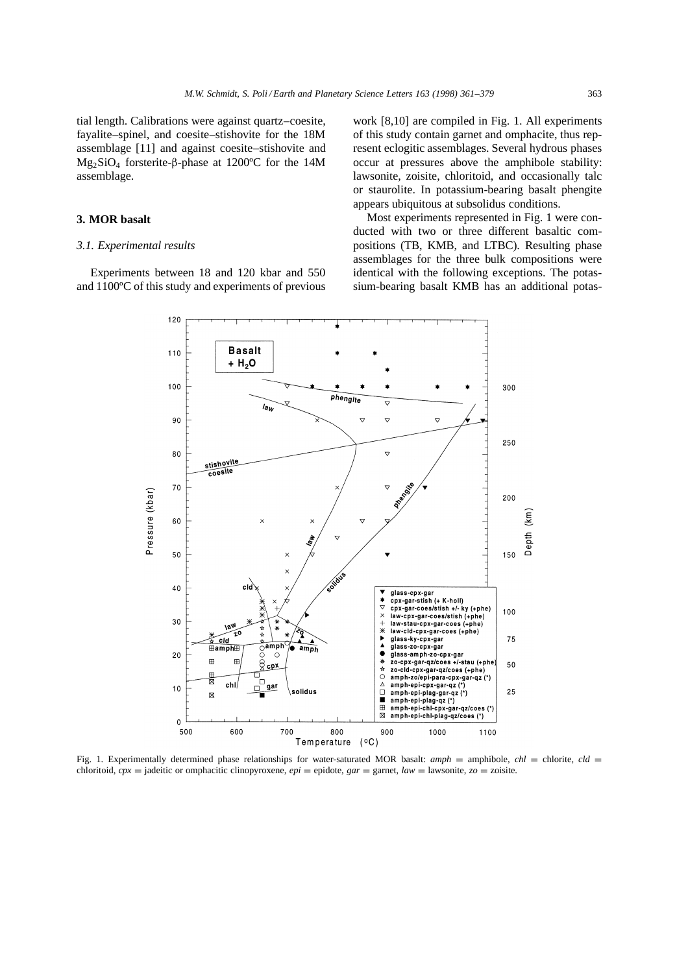tial length. Calibrations were against quartz–coesite, fayalite–spinel, and coesite–stishovite for the 18M assemblage [11] and against coesite–stishovite and Mg2SiO4 forsterite-β-phase at 1200ºC for the 14M assemblage.

## **3. MOR basalt**

#### *3.1. Experimental results*

Experiments between 18 and 120 kbar and 550 and 1100ºC of this study and experiments of previous work [8,10] are compiled in Fig. 1. All experiments of this study contain garnet and omphacite, thus represent eclogitic assemblages. Several hydrous phases occur at pressures above the amphibole stability: lawsonite, zoisite, chloritoid, and occasionally talc or staurolite. In potassium-bearing basalt phengite appears ubiquitous at subsolidus conditions.

Most experiments represented in Fig. 1 were conducted with two or three different basaltic compositions (TB, KMB, and LTBC). Resulting phase assemblages for the three bulk compositions were identical with the following exceptions. The potassium-bearing basalt KMB has an additional potas-



Fig. 1. Experimentally determined phase relationships for water-saturated MOR basalt:  $amph =$  amphibole,  $chl =$  chlorite,  $cld =$ chloritoid,  $cpx =$  jadeitic or omphacitic clinopyroxene,  $epi =$  epidote,  $gar =$  garnet,  $law =$  lawsonite,  $zo =$  zoisite.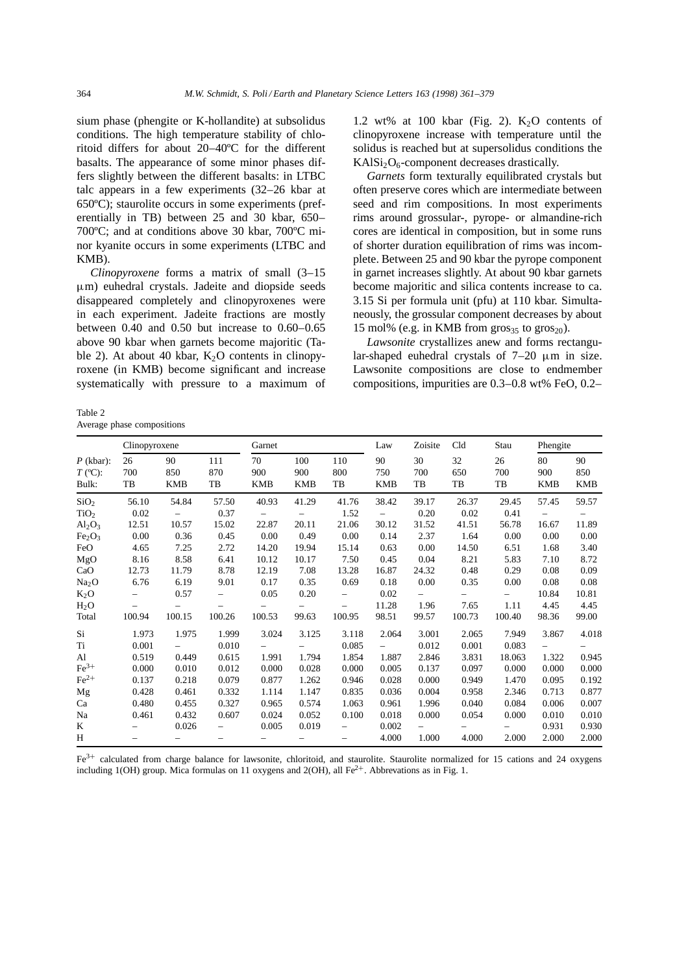sium phase (phengite or K-hollandite) at subsolidus conditions. The high temperature stability of chloritoid differs for about 20–40ºC for the different basalts. The appearance of some minor phases differs slightly between the different basalts: in LTBC talc appears in a few experiments (32–26 kbar at 650ºC); staurolite occurs in some experiments (preferentially in TB) between 25 and 30 kbar, 650– 700ºC; and at conditions above 30 kbar, 700ºC minor kyanite occurs in some experiments (LTBC and KMB).

*Clinopyroxene* forms a matrix of small (3–15 µm) euhedral crystals. Jadeite and diopside seeds disappeared completely and clinopyroxenes were in each experiment. Jadeite fractions are mostly between 0.40 and 0.50 but increase to 0.60–0.65 above 90 kbar when garnets become majoritic (Table 2). At about 40 kbar,  $K_2O$  contents in clinopyroxene (in KMB) become significant and increase systematically with pressure to a maximum of

Table 2 Average phase compositions

1.2 wt% at 100 kbar (Fig. 2).  $K_2O$  contents of clinopyroxene increase with temperature until the solidus is reached but at supersolidus conditions the  $KAISi<sub>2</sub>O<sub>6</sub>$ -component decreases drastically.

*Garnets* form texturally equilibrated crystals but often preserve cores which are intermediate between seed and rim compositions. In most experiments rims around grossular-, pyrope- or almandine-rich cores are identical in composition, but in some runs of shorter duration equilibration of rims was incomplete. Between 25 and 90 kbar the pyrope component in garnet increases slightly. At about 90 kbar garnets become majoritic and silica contents increase to ca. 3.15 Si per formula unit (pfu) at 110 kbar. Simultaneously, the grossular component decreases by about 15 mol% (e.g. in KMB from  $\text{gross}_{35}$  to  $\text{gross}_{20}$ ).

*Lawsonite* crystallizes anew and forms rectangular-shaped euhedral crystals of 7–20  $\mu$ m in size. Lawsonite compositions are close to endmember compositions, impurities are 0.3–0.8 wt% FeO, 0.2–

|                                   | Clinopyroxene            |                          |                          | Garnet                   |                          |                          | Law                      | Zoisite         | Cld             | Stau                     | Phengite                 |                         |
|-----------------------------------|--------------------------|--------------------------|--------------------------|--------------------------|--------------------------|--------------------------|--------------------------|-----------------|-----------------|--------------------------|--------------------------|-------------------------|
| $P$ (kbar):<br>$T$ (°C):<br>Bulk: | 26<br>700<br>TB          | 90<br>850<br><b>KMB</b>  | 111<br>870<br>TB         | 70<br>900<br><b>KMB</b>  | 100<br>900<br><b>KMB</b> | 110<br>800<br>TB         | 90<br>750<br><b>KMB</b>  | 30<br>700<br>TB | 32<br>650<br>TB | 26<br>700<br>TB          | 80<br>900<br><b>KMB</b>  | 90<br>850<br><b>KMB</b> |
| SiO <sub>2</sub>                  | 56.10                    | 54.84                    | 57.50                    | 40.93                    | 41.29                    | 41.76                    | 38.42                    | 39.17           | 26.37           | 29.45                    | 57.45                    | 59.57                   |
| TiO <sub>2</sub>                  | 0.02                     | $-$                      | 0.37                     | $\overline{\phantom{m}}$ | $\qquad \qquad -$        | 1.52                     | $\overline{\phantom{a}}$ | 0.20            | 0.02            | 0.41                     | $\overline{\phantom{0}}$ | $\qquad \qquad -$       |
| $Al_2O_3$                         | 12.51                    | 10.57                    | 15.02                    | 22.87                    | 20.11                    | 21.06                    | 30.12                    | 31.52           | 41.51           | 56.78                    | 16.67                    | 11.89                   |
| Fe <sub>2</sub> O <sub>3</sub>    | 0.00                     | 0.36                     | 0.45                     | 0.00                     | 0.49                     | 0.00                     | 0.14                     | 2.37            | 1.64            | 0.00                     | 0.00                     | 0.00                    |
| FeO                               | 4.65                     | 7.25                     | 2.72                     | 14.20                    | 19.94                    | 15.14                    | 0.63                     | 0.00            | 14.50           | 6.51                     | 1.68                     | 3.40                    |
| MgO                               | 8.16                     | 8.58                     | 6.41                     | 10.12                    | 10.17                    | 7.50                     | 0.45                     | 0.04            | 8.21            | 5.83                     | 7.10                     | 8.72                    |
| CaO                               | 12.73                    | 11.79                    | 8.78                     | 12.19                    | 7.08                     | 13.28                    | 16.87                    | 24.32           | 0.48            | 0.29                     | 0.08                     | 0.09                    |
| Na <sub>2</sub> O                 | 6.76                     | 6.19                     | 9.01                     | 0.17                     | 0.35                     | 0.69                     | 0.18                     | 0.00            | 0.35            | 0.00                     | 0.08                     | 0.08                    |
| $K_2O$                            |                          | 0.57                     | $\overline{\phantom{0}}$ | 0.05                     | 0.20                     | $\overline{\phantom{0}}$ | 0.02                     | $-$             | $-$             | $\overline{\phantom{0}}$ | 10.84                    | 10.81                   |
| $H_2O$                            | $\qquad \qquad -$        |                          |                          |                          | $\qquad \qquad -$        | -                        | 11.28                    | 1.96            | 7.65            | 1.11                     | 4.45                     | 4.45                    |
| Total                             | 100.94                   | 100.15                   | 100.26                   | 100.53                   | 99.63                    | 100.95                   | 98.51                    | 99.57           | 100.73          | 100.40                   | 98.36                    | 99.00                   |
| Si                                | 1.973                    | 1.975                    | 1.999                    | 3.024                    | 3.125                    | 3.118                    | 2.064                    | 3.001           | 2.065           | 7.949                    | 3.867                    | 4.018                   |
| Ti                                | 0.001                    |                          | 0.010                    |                          |                          | 0.085                    | $\overline{\phantom{0}}$ | 0.012           | 0.001           | 0.083                    | $\overline{\phantom{0}}$ |                         |
| Al                                | 0.519                    | 0.449                    | 0.615                    | 1.991                    | 1.794                    | 1.854                    | 1.887                    | 2.846           | 3.831           | 18.063                   | 1.322                    | 0.945                   |
| $Fe3+$                            | 0.000                    | 0.010                    | 0.012                    | 0.000                    | 0.028                    | 0.000                    | 0.005                    | 0.137           | 0.097           | 0.000                    | 0.000                    | 0.000                   |
| $Fe2+$                            | 0.137                    | 0.218                    | 0.079                    | 0.877                    | 1.262                    | 0.946                    | 0.028                    | 0.000           | 0.949           | 1.470                    | 0.095                    | 0.192                   |
| Mg                                | 0.428                    | 0.461                    | 0.332                    | 1.114                    | 1.147                    | 0.835                    | 0.036                    | 0.004           | 0.958           | 2.346                    | 0.713                    | 0.877                   |
| Ca                                | 0.480                    | 0.455                    | 0.327                    | 0.965                    | 0.574                    | 1.063                    | 0.961                    | 1.996           | 0.040           | 0.084                    | 0.006                    | 0.007                   |
| Na                                | 0.461                    | 0.432                    | 0.607                    | 0.024                    | 0.052                    | 0.100                    | 0.018                    | 0.000           | 0.054           | 0.000                    | 0.010                    | 0.010                   |
| K                                 | $\qquad \qquad -$        | 0.026                    | $\overline{\phantom{0}}$ | 0.005                    | 0.019                    | -                        | 0.002                    |                 |                 | $\overline{\phantom{0}}$ | 0.931                    | 0.930                   |
| H                                 | $\overline{\phantom{0}}$ | $\overline{\phantom{0}}$ | $\overline{\phantom{0}}$ | $\overline{\phantom{a}}$ | $\overline{\phantom{0}}$ | $\overline{\phantom{0}}$ | 4.000                    | 1.000           | 4.000           | 2.000                    | 2.000                    | 2.000                   |

 $Fe<sup>3+</sup>$  calculated from charge balance for lawsonite, chloritoid, and staurolite. Staurolite normalized for 15 cations and 24 oxygens including 1(OH) group. Mica formulas on 11 oxygens and 2(OH), all  $Fe^{2+}$ . Abbrevations as in Fig. 1.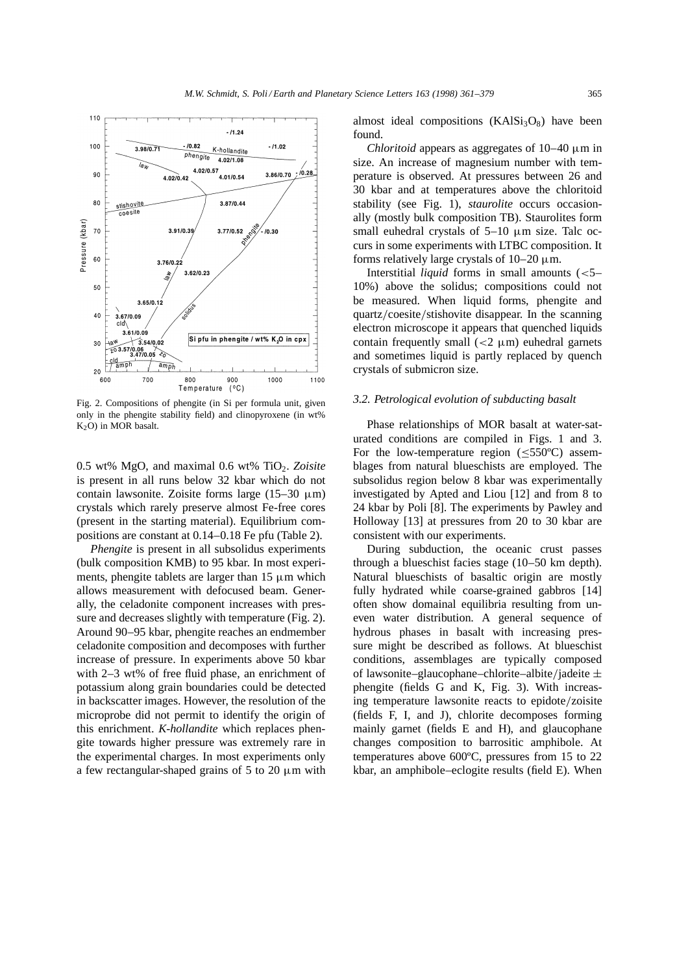

Fig. 2. Compositions of phengite (in Si per formula unit, given only in the phengite stability field) and clinopyroxene (in wt% K2O) in MOR basalt.

0.5 wt% MgO, and maximal 0.6 wt% TiO2. *Zoisite* is present in all runs below 32 kbar which do not contain lawsonite. Zoisite forms large  $(15-30 \mu m)$ crystals which rarely preserve almost Fe-free cores (present in the starting material). Equilibrium compositions are constant at 0.14–0.18 Fe pfu (Table 2).

*Phengite* is present in all subsolidus experiments (bulk composition KMB) to 95 kbar. In most experiments, phengite tablets are larger than  $15 \mu m$  which allows measurement with defocused beam. Generally, the celadonite component increases with pressure and decreases slightly with temperature (Fig. 2). Around 90–95 kbar, phengite reaches an endmember celadonite composition and decomposes with further increase of pressure. In experiments above 50 kbar with 2–3 wt% of free fluid phase, an enrichment of potassium along grain boundaries could be detected in backscatter images. However, the resolution of the microprobe did not permit to identify the origin of this enrichment. *K*-*hollandite* which replaces phengite towards higher pressure was extremely rare in the experimental charges. In most experiments only a few rectangular-shaped grains of 5 to 20  $\mu$ m with almost ideal compositions  $(KAISi_3O_8)$  have been found.

*Chloritoid* appears as aggregates of 10–40 µm in size. An increase of magnesium number with temperature is observed. At pressures between 26 and 30 kbar and at temperatures above the chloritoid stability (see Fig. 1), *staurolite* occurs occasionally (mostly bulk composition TB). Staurolites form small euhedral crystals of  $5-10 \mu m$  size. Talc occurs in some experiments with LTBC composition. It forms relatively large crystals of  $10-20 \mu m$ .

Interstitial *liquid* forms in small amounts (<5– 10%) above the solidus; compositions could not be measured. When liquid forms, phengite and quartz/coesite/stishovite disappear. In the scanning electron microscope it appears that quenched liquids contain frequently small  $\left($  <2  $\mu$ m) euhedral garnets and sometimes liquid is partly replaced by quench crystals of submicron size.

## *3.2. Petrological evolution of subducting basalt*

Phase relationships of MOR basalt at water-saturated conditions are compiled in Figs. 1 and 3. For the low-temperature region  $(<550^{\circ}$ C) assemblages from natural blueschists are employed. The subsolidus region below 8 kbar was experimentally investigated by Apted and Liou [12] and from 8 to 24 kbar by Poli [8]. The experiments by Pawley and Holloway [13] at pressures from 20 to 30 kbar are consistent with our experiments.

During subduction, the oceanic crust passes through a blueschist facies stage (10–50 km depth). Natural blueschists of basaltic origin are mostly fully hydrated while coarse-grained gabbros [14] often show domainal equilibria resulting from uneven water distribution. A general sequence of hydrous phases in basalt with increasing pressure might be described as follows. At blueschist conditions, assemblages are typically composed of lawsonite–glaucophane–chlorite–albite/jadeite  $\pm$ phengite (fields G and K, Fig. 3). With increasing temperature lawsonite reacts to epidote/zoisite (fields F, I, and J), chlorite decomposes forming mainly garnet (fields E and H), and glaucophane changes composition to barrositic amphibole. At temperatures above 600ºC, pressures from 15 to 22 kbar, an amphibole–eclogite results (field E). When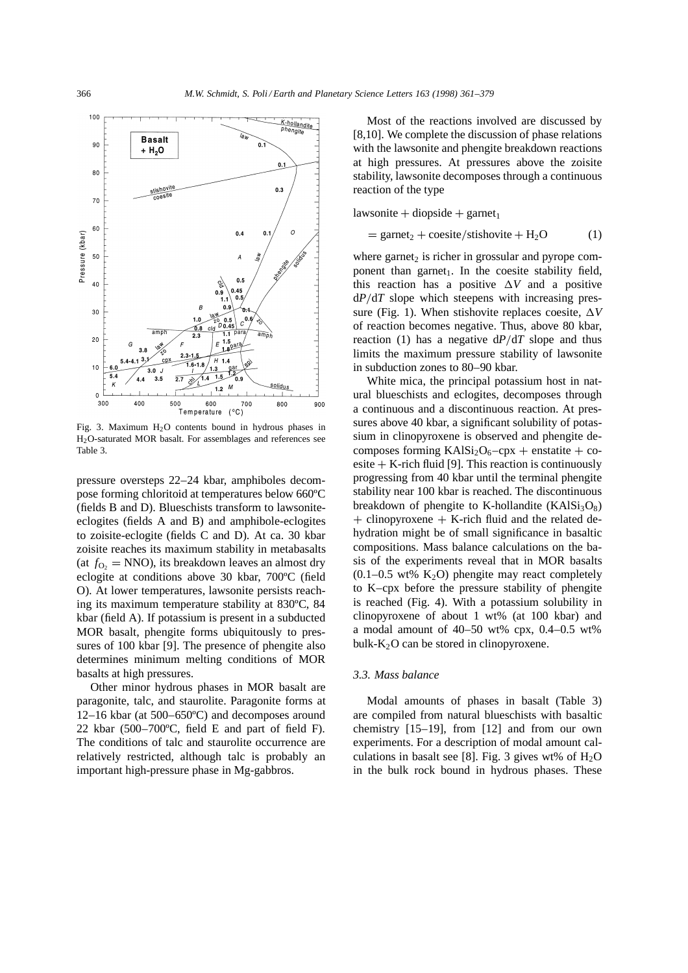

Fig. 3. Maximum  $H<sub>2</sub>O$  contents bound in hydrous phases in H2O-saturated MOR basalt. For assemblages and references see Table 3.

pressure oversteps 22–24 kbar, amphiboles decompose forming chloritoid at temperatures below 660ºC (fields B and D). Blueschists transform to lawsoniteeclogites (fields A and B) and amphibole-eclogites to zoisite-eclogite (fields C and D). At ca. 30 kbar zoisite reaches its maximum stability in metabasalts (at  $f_{\text{O}_2} = \text{NNO}$ ), its breakdown leaves an almost dry eclogite at conditions above 30 kbar, 700ºC (field O). At lower temperatures, lawsonite persists reaching its maximum temperature stability at 830ºC, 84 kbar (field A). If potassium is present in a subducted MOR basalt, phengite forms ubiquitously to pressures of 100 kbar [9]. The presence of phengite also determines minimum melting conditions of MOR basalts at high pressures.

Other minor hydrous phases in MOR basalt are paragonite, talc, and staurolite. Paragonite forms at 12–16 kbar (at 500–650ºC) and decomposes around 22 kbar (500–700ºC, field E and part of field F). The conditions of talc and staurolite occurrence are relatively restricted, although talc is probably an important high-pressure phase in Mg-gabbros.

Most of the reactions involved are discussed by [8,10]. We complete the discussion of phase relations with the lawsonite and phengite breakdown reactions at high pressures. At pressures above the zoisite stability, lawsonite decomposes through a continuous reaction of the type

 $lawsonite + diopside + garnet<sub>1</sub>$ 

$$
= \text{garnet}_2 + \text{cosite}/\text{stishovite} + H_2O \tag{1}
$$

where garnet<sub>2</sub> is richer in grossular and pyrope component than garnet<sub>1</sub>. In the coesite stability field, this reaction has a positive  $\Delta V$  and a positive  $dP/dT$  slope which steepens with increasing pressure (Fig. 1). When stishovite replaces coesite,  $\Delta V$ of reaction becomes negative. Thus, above 80 kbar, reaction (1) has a negative  $dP/dT$  slope and thus limits the maximum pressure stability of lawsonite in subduction zones to 80–90 kbar.

White mica, the principal potassium host in natural blueschists and eclogites, decomposes through a continuous and a discontinuous reaction. At pressures above 40 kbar, a significant solubility of potassium in clinopyroxene is observed and phengite decomposes forming  $KAISi<sub>2</sub>O<sub>6</sub> - cpx + enstatite + co$ esite  $+$  K-rich fluid [9]. This reaction is continuously progressing from 40 kbar until the terminal phengite stability near 100 kbar is reached. The discontinuous breakdown of phengite to K-hollandite  $(KAISi<sub>3</sub>O<sub>8</sub>)$  $+$  clinopyroxene  $+$  K-rich fluid and the related dehydration might be of small significance in basaltic compositions. Mass balance calculations on the basis of the experiments reveal that in MOR basalts  $(0.1-0.5 \text{ wt\% K}_2\text{O})$  phengite may react completely to K–cpx before the pressure stability of phengite is reached (Fig. 4). With a potassium solubility in clinopyroxene of about 1 wt% (at 100 kbar) and a modal amount of 40–50 wt% cpx, 0.4–0.5 wt% bulk- $K_2O$  can be stored in clinopyroxene.

## *3.3. Mass balance*

Modal amounts of phases in basalt (Table 3) are compiled from natural blueschists with basaltic chemistry [15–19], from [12] and from our own experiments. For a description of modal amount calculations in basalt see [8]. Fig. 3 gives wt% of  $H_2O$ in the bulk rock bound in hydrous phases. These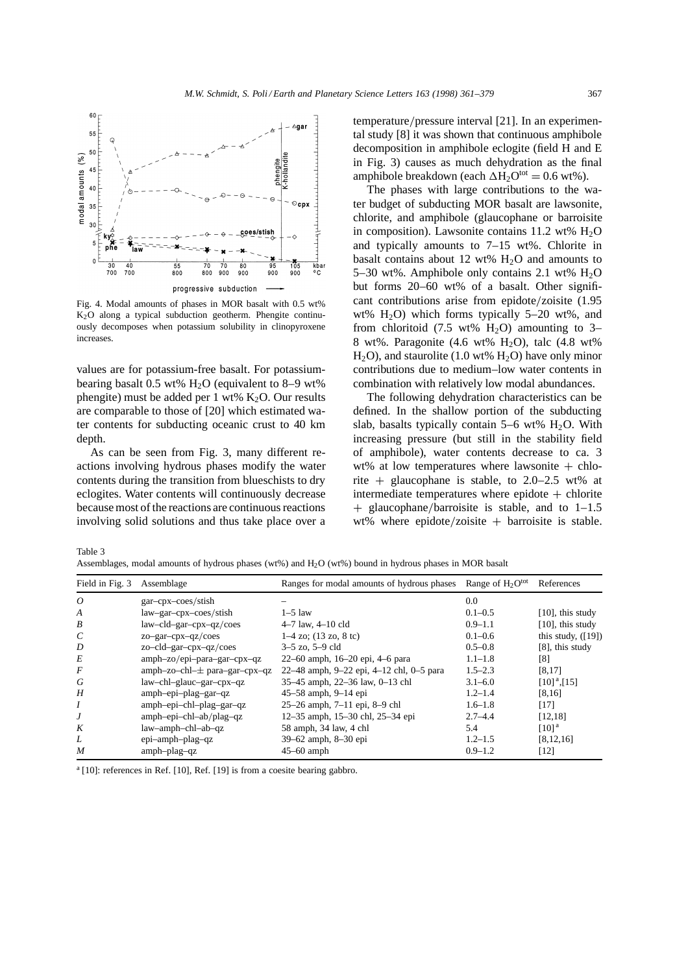

Fig. 4. Modal amounts of phases in MOR basalt with 0.5 wt%  $K<sub>2</sub>O$  along a typical subduction geotherm. Phengite continuously decomposes when potassium solubility in clinopyroxene increases.

values are for potassium-free basalt. For potassiumbearing basalt 0.5 wt%  $H_2O$  (equivalent to 8–9 wt%) phengite) must be added per 1 wt%  $K_2O$ . Our results are comparable to those of [20] which estimated water contents for subducting oceanic crust to 40 km depth.

As can be seen from Fig. 3, many different reactions involving hydrous phases modify the water contents during the transition from blueschists to dry eclogites. Water contents will continuously decrease because most of the reactions are continuous reactions involving solid solutions and thus take place over a

 $temperature/pressure interval [21]$ . In an experimental study [8] it was shown that continuous amphibole decomposition in amphibole eclogite (field H and E in Fig. 3) causes as much dehydration as the final amphibole breakdown (each  $\Delta H_2O^{tot} = 0.6$  wt%).

The phases with large contributions to the water budget of subducting MOR basalt are lawsonite, chlorite, and amphibole (glaucophane or barroisite in composition). Lawsonite contains  $11.2 \text{ wt\% } H_2O$ and typically amounts to 7–15 wt%. Chlorite in basalt contains about 12 wt%  $H_2O$  and amounts to 5–30 wt%. Amphibole only contains 2.1 wt%  $H_2O$ but forms 20–60 wt% of a basalt. Other significant contributions arise from epidote/zoisite  $(1.95$ wt%  $H_2O$ ) which forms typically 5–20 wt%, and from chloritoid (7.5 wt%  $H_2O$ ) amounting to 3– 8 wt%. Paragonite  $(4.6 \text{ wt\% H}_2O)$ , talc  $(4.8 \text{ wt\%})$  $H_2O$ , and staurolite (1.0 wt%  $H_2O$ ) have only minor contributions due to medium–low water contents in combination with relatively low modal abundances.

The following dehydration characteristics can be defined. In the shallow portion of the subducting slab, basalts typically contain  $5-6$  wt%  $H<sub>2</sub>O$ . With increasing pressure (but still in the stability field of amphibole), water contents decrease to ca. 3 wt% at low temperatures where lawsonite  $+$  chlorite  $+$  glaucophane is stable, to 2.0–2.5 wt% at intermediate temperatures where epidote  $+$  chlorite  $+$  glaucophane/barroisite is stable, and to 1–1.5 wt% where epidote/zoisite  $+$  barroisite is stable.

Table 3

Assemblages, modal amounts of hydrous phases (wt%) and H2O (wt%) bound in hydrous phases in MOR basalt

| Field in Fig. 3 Assemblage |                               | Ranges for modal amounts of hydrous phases Range of $H_2O^{tot}$ |             | References                 |
|----------------------------|-------------------------------|------------------------------------------------------------------|-------------|----------------------------|
| $\overline{O}$             | gar-cpx-coes/stish            |                                                                  | $0.0\,$     |                            |
| A                          | law–gar–cpx–coes/stish        | $1-5$ law                                                        | $0.1 - 0.5$ | $[10]$ , this study        |
| B                          | $law-cld-gar-cpx-qz/coes$     | $4-7$ law, $4-10$ cld                                            | $0.9 - 1.1$ | $[10]$ , this study        |
| $\mathcal{C}_{0}^{0}$      | $zo-gar-cpx-qz/coes$          | $1-4$ zo; $(13 \text{ zo}, 8 \text{ tc})$                        | $0.1 - 0.6$ | this study, $([19])$       |
| D                          | zo-cld-gar-cpx-qz/coes        | $3-5$ zo, $5-9$ cld                                              | $0.5 - 0.8$ | [8], this study            |
| E                          | amph-zo/epi-para-gar-cpx-qz   | 22–60 amph, 16–20 epi, 4–6 para                                  | $1.1 - 1.8$ | [8]                        |
| F                          | amph-zo-chl-± para-gar-cpx-qz | 22-48 amph, 9-22 epi, 4-12 chl, 0-5 para                         | $1.5 - 2.3$ | [8,17]                     |
| G                          | law-chl-glauc-gar-cpx-qz      | 35-45 amph, 22-36 law, 0-13 chl                                  | $3.1 - 6.0$ | $[10]$ <sup>a</sup> , [15] |
| H                          | amph-epi-plag-gar-qz          | 45–58 amph, 9–14 epi                                             | $1,2-1,4$   | [8,16]                     |
|                            | amph-epi-chl-plag-gar-qz      | 25–26 amph, 7–11 epi, 8–9 chl                                    | $1.6 - 1.8$ | $[17]$                     |
| J                          | amph-epi-chl-ab/plag-qz       | 12-35 amph, 15-30 chl, 25-34 epi                                 | $2.7 - 4.4$ | [12, 18]                   |
| K                          | law-amph-chl-ab-qz            | 58 amph, 34 law, 4 chl                                           | 5.4         | $[10]$ <sup>a</sup>        |
| L                          | epi-amph-plag-qz              | 39–62 amph, 8–30 epi                                             | $1.2 - 1.5$ | [8, 12, 16]                |
| M                          | amph-plag-qz                  | $45-60$ amph                                                     | $0.9 - 1.2$ | $[12]$                     |

 $a$  [10]: references in Ref. [10], Ref. [19] is from a coesite bearing gabbro.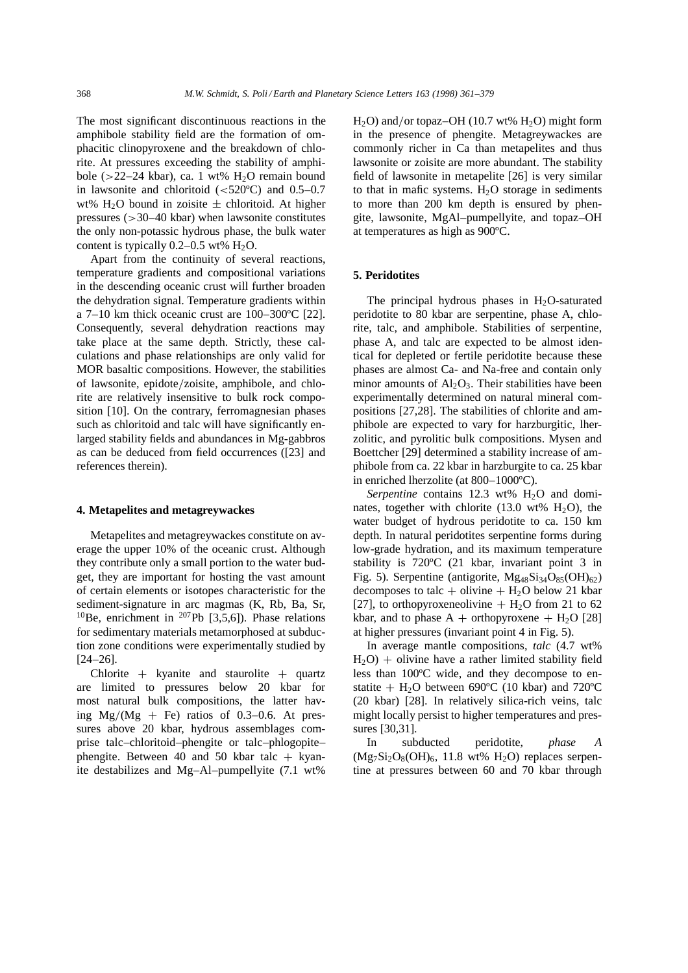The most significant discontinuous reactions in the amphibole stability field are the formation of omphacitic clinopyroxene and the breakdown of chlorite. At pressures exceeding the stability of amphibole ( $>$ 22–24 kbar), ca. 1 wt% H<sub>2</sub>O remain bound in lawsonite and chloritoid  $(<520^{\circ}$ C) and 0.5–0.7 wt% H<sub>2</sub>O bound in zoisite  $\pm$  chloritoid. At higher pressures  $(>= 30 - 40 \text{ kbar})$  when lawsonite constitutes the only non-potassic hydrous phase, the bulk water content is typically  $0.2-0.5$  wt%  $H_2O$ .

Apart from the continuity of several reactions, temperature gradients and compositional variations in the descending oceanic crust will further broaden the dehydration signal. Temperature gradients within a 7–10 km thick oceanic crust are 100–300ºC [22]. Consequently, several dehydration reactions may take place at the same depth. Strictly, these calculations and phase relationships are only valid for MOR basaltic compositions. However, the stabilities of lawsonite, epidote/zoisite, amphibole, and chlorite are relatively insensitive to bulk rock composition [10]. On the contrary, ferromagnesian phases such as chloritoid and talc will have significantly enlarged stability fields and abundances in Mg-gabbros as can be deduced from field occurrences ([23] and references therein).

#### **4. Metapelites and metagreywackes**

Metapelites and metagreywackes constitute on average the upper 10% of the oceanic crust. Although they contribute only a small portion to the water budget, they are important for hosting the vast amount of certain elements or isotopes characteristic for the sediment-signature in arc magmas (K, Rb, Ba, Sr, <sup>10</sup>Be, enrichment in <sup>207</sup>Pb [3,5,6]). Phase relations for sedimentary materials metamorphosed at subduction zone conditions were experimentally studied by [24–26].

Chlorite  $+$  kyanite and staurolite  $+$  quartz are limited to pressures below 20 kbar for most natural bulk compositions, the latter having  $Mg/(Mg + Fe)$  ratios of 0.3–0.6. At pressures above 20 kbar, hydrous assemblages comprise talc–chloritoid–phengite or talc–phlogopite– phengite. Between 40 and 50 kbar talc  $+$  kyanite destabilizes and Mg–Al–pumpellyite (7.1 wt%

 $H<sub>2</sub>O$ ) and/or topaz–OH (10.7 wt%  $H<sub>2</sub>O$ ) might form in the presence of phengite. Metagreywackes are commonly richer in Ca than metapelites and thus lawsonite or zoisite are more abundant. The stability field of lawsonite in metapelite [26] is very similar to that in mafic systems.  $H_2O$  storage in sediments to more than 200 km depth is ensured by phengite, lawsonite, MgAl–pumpellyite, and topaz–OH at temperatures as high as 900ºC.

#### **5. Peridotites**

The principal hydrous phases in  $H_2O$ -saturated peridotite to 80 kbar are serpentine, phase A, chlorite, talc, and amphibole. Stabilities of serpentine, phase A, and talc are expected to be almost identical for depleted or fertile peridotite because these phases are almost Ca- and Na-free and contain only minor amounts of  $Al_2O_3$ . Their stabilities have been experimentally determined on natural mineral compositions [27,28]. The stabilities of chlorite and amphibole are expected to vary for harzburgitic, lherzolitic, and pyrolitic bulk compositions. Mysen and Boettcher [29] determined a stability increase of amphibole from ca. 22 kbar in harzburgite to ca. 25 kbar in enriched lherzolite (at 800–1000ºC).

*Serpentine* contains 12.3 wt% H<sub>2</sub>O and dominates, together with chlorite (13.0 wt%  $H_2O$ ), the water budget of hydrous peridotite to ca. 150 km depth. In natural peridotites serpentine forms during low-grade hydration, and its maximum temperature stability is 720ºC (21 kbar, invariant point 3 in Fig. 5). Serpentine (antigorite,  $Mg_{48}Si_{34}O_{85}(OH)_{62}$ ) decomposes to talc + olivine +  $H_2O$  below 21 kbar [27], to orthopyroxeneolivine  $+$  H<sub>2</sub>O from 21 to 62 kbar, and to phase  $A +$  orthopyroxene  $+ H_2O$  [28] at higher pressures (invariant point 4 in Fig. 5).

In average mantle compositions, *talc* (4.7 wt%  $H_2O$ ) + olivine have a rather limited stability field less than 100ºC wide, and they decompose to enstatite  $+$  H<sub>2</sub>O between 690<sup>o</sup>C (10 kbar) and 720<sup>o</sup>C (20 kbar) [28]. In relatively silica-rich veins, talc might locally persist to higher temperatures and pressures [30,31].

In subducted peridotite, *phase A*  $(Mg_7Si_2O_8(OH)_6$ , 11.8 wt% H<sub>2</sub>O) replaces serpentine at pressures between 60 and 70 kbar through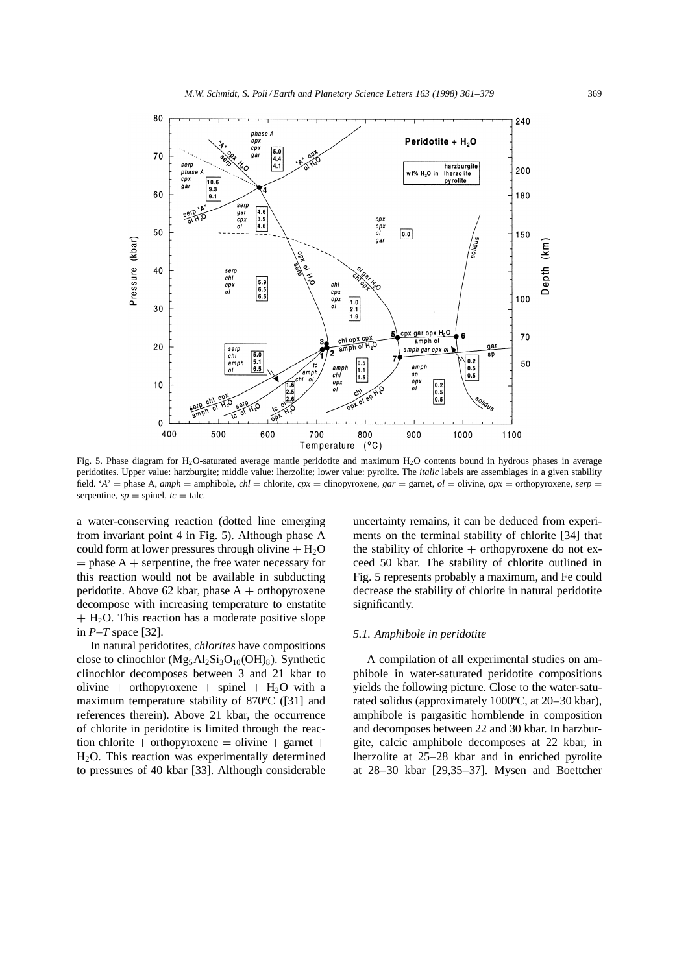

Fig. 5. Phase diagram for H2O-saturated average mantle peridotite and maximum H2O contents bound in hydrous phases in average peridotites. Upper value: harzburgite; middle value: lherzolite; lower value: pyrolite. The *italic* labels are assemblages in a given stability field. '*A*' = phase A, *amph* = amphibole, *chl* = chlorite, *cpx* = clinopyroxene, *gar* = garnet, *ol* = olivine, *opx* = orthopyroxene, *serp* = serpentine,  $sp =$  spinel,  $tc =$  talc.

a water-conserving reaction (dotted line emerging from invariant point 4 in Fig. 5). Although phase A could form at lower pressures through olivine  $+ H_2O$  $=$  phase A  $+$  serpentine, the free water necessary for this reaction would not be available in subducting peridotite. Above 62 kbar, phase  $A +$  orthopyroxene decompose with increasing temperature to enstatite  $+ H<sub>2</sub>O$ . This reaction has a moderate positive slope in *P–T* space [32].

In natural peridotites, *chlorites* have compositions close to clinochlor  $(Mg_5Al_2Si_3O_{10}(OH)_8)$ . Synthetic clinochlor decomposes between 3 and 21 kbar to olivine + orthopyroxene + spinel +  $H_2O$  with a maximum temperature stability of 870ºC ([31] and references therein). Above 21 kbar, the occurrence of chlorite in peridotite is limited through the reaction chlorite + orthopyroxene = olivine + garnet + H2O. This reaction was experimentally determined to pressures of 40 kbar [33]. Although considerable

uncertainty remains, it can be deduced from experiments on the terminal stability of chlorite [34] that the stability of chlorite  $+$  orthopyroxene do not exceed 50 kbar. The stability of chlorite outlined in Fig. 5 represents probably a maximum, and Fe could decrease the stability of chlorite in natural peridotite significantly.

#### *5.1. Amphibole in peridotite*

A compilation of all experimental studies on amphibole in water-saturated peridotite compositions yields the following picture. Close to the water-saturated solidus (approximately 1000ºC, at 20–30 kbar), amphibole is pargasitic hornblende in composition and decomposes between 22 and 30 kbar. In harzburgite, calcic amphibole decomposes at 22 kbar, in lherzolite at 25–28 kbar and in enriched pyrolite at 28–30 kbar [29,35–37]. Mysen and Boettcher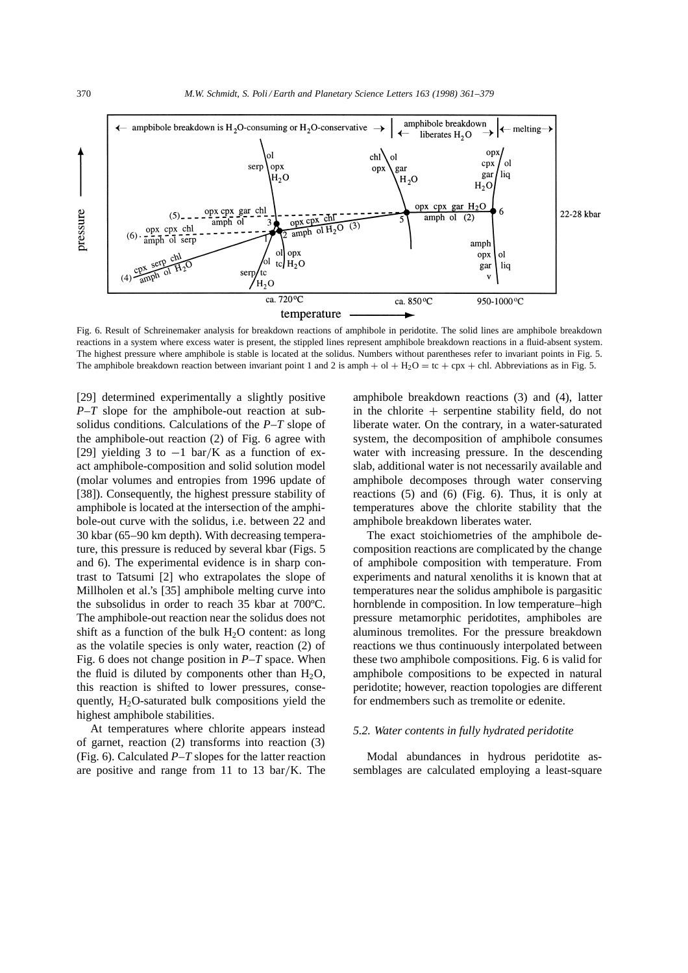

Fig. 6. Result of Schreinemaker analysis for breakdown reactions of amphibole in peridotite. The solid lines are amphibole breakdown reactions in a system where excess water is present, the stippled lines represent amphibole breakdown reactions in a fluid-absent system. The highest pressure where amphibole is stable is located at the solidus. Numbers without parentheses refer to invariant points in Fig. 5. The amphibole breakdown reaction between invariant point 1 and 2 is amph  $+$  ol  $+$  H<sub>2</sub>O = tc  $+$  cpx  $+$  chl. Abbreviations as in Fig. 5.

[29] determined experimentally a slightly positive *P–T* slope for the amphibole-out reaction at subsolidus conditions. Calculations of the *P–T* slope of the amphibole-out reaction (2) of Fig. 6 agree with [29] yielding 3 to  $-1$  bar/K as a function of exact amphibole-composition and solid solution model (molar volumes and entropies from 1996 update of [38]). Consequently, the highest pressure stability of amphibole is located at the intersection of the amphibole-out curve with the solidus, i.e. between 22 and 30 kbar (65–90 km depth). With decreasing temperature, this pressure is reduced by several kbar (Figs. 5 and 6). The experimental evidence is in sharp contrast to Tatsumi [2] who extrapolates the slope of Millholen et al.'s [35] amphibole melting curve into the subsolidus in order to reach 35 kbar at 700ºC. The amphibole-out reaction near the solidus does not shift as a function of the bulk  $H_2O$  content: as long as the volatile species is only water, reaction (2) of Fig. 6 does not change position in *P–T* space. When the fluid is diluted by components other than  $H_2O$ , this reaction is shifted to lower pressures, consequently,  $H_2O$ -saturated bulk compositions yield the highest amphibole stabilities.

At temperatures where chlorite appears instead of garnet, reaction (2) transforms into reaction (3) (Fig. 6). Calculated *P–T* slopes for the latter reaction are positive and range from 11 to 13 bar/K. The amphibole breakdown reactions (3) and (4), latter in the chlorite  $+$  serpentine stability field, do not liberate water. On the contrary, in a water-saturated system, the decomposition of amphibole consumes water with increasing pressure. In the descending slab, additional water is not necessarily available and amphibole decomposes through water conserving reactions (5) and (6) (Fig. 6). Thus, it is only at temperatures above the chlorite stability that the amphibole breakdown liberates water.

The exact stoichiometries of the amphibole decomposition reactions are complicated by the change of amphibole composition with temperature. From experiments and natural xenoliths it is known that at temperatures near the solidus amphibole is pargasitic hornblende in composition. In low temperature–high pressure metamorphic peridotites, amphiboles are aluminous tremolites. For the pressure breakdown reactions we thus continuously interpolated between these two amphibole compositions. Fig. 6 is valid for amphibole compositions to be expected in natural peridotite; however, reaction topologies are different for endmembers such as tremolite or edenite.

#### *5.2. Water contents in fully hydrated peridotite*

Modal abundances in hydrous peridotite assemblages are calculated employing a least-square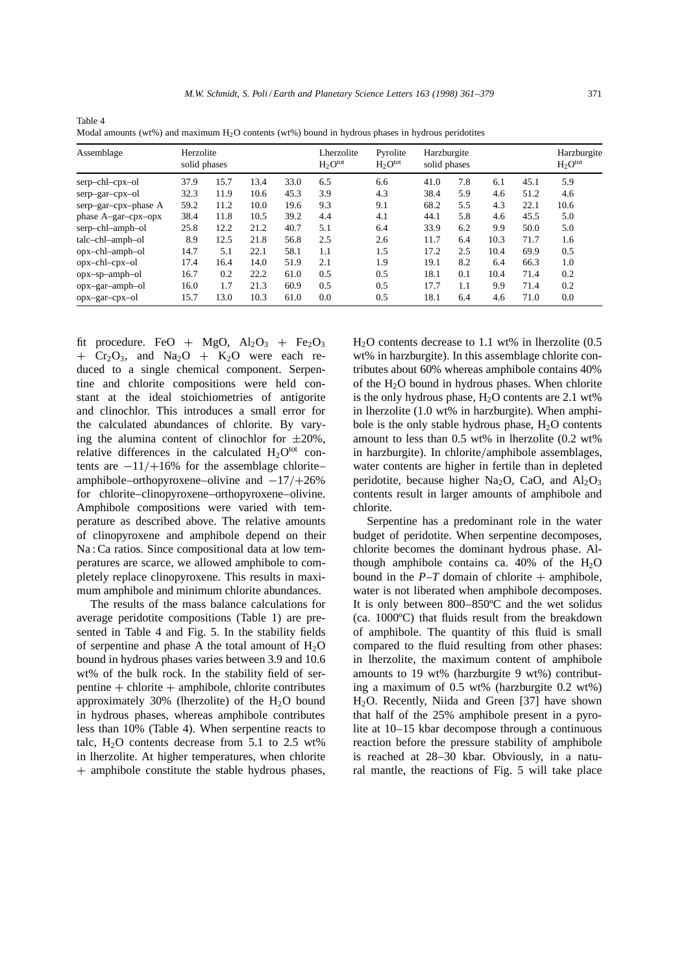|                       |                           |      |      |      | $\checkmark$               | $\mathbf{r}$             | $\checkmark$                |     |      |      |                             |
|-----------------------|---------------------------|------|------|------|----------------------------|--------------------------|-----------------------------|-----|------|------|-----------------------------|
| Assemblage            | Herzolite<br>solid phases |      |      |      | Lherzolite<br>$H_2O^{tot}$ | Pyrolite<br>$H_2O^{tot}$ | Harzburgite<br>solid phases |     |      |      | Harzburgite<br>$H_2O^{tot}$ |
| serp-chl-cpx-ol       | 37.9                      | 15.7 | 13.4 | 33.0 | 6.5                        | 6.6                      | 41.0                        | 7.8 | 6.1  | 45.1 | 5.9                         |
| serp-gar-cpx-ol       | 32.3                      | 11.9 | 10.6 | 45.3 | 3.9                        | 4.3                      | 38.4                        | 5.9 | 4.6  | 51.2 | 4.6                         |
| serp-gar-cpx-phase A  | 59.2                      | 11.2 | 10.0 | 19.6 | 9.3                        | 9.1                      | 68.2                        | 5.5 | 4.3  | 22.1 | 10.6                        |
| phase A-gar-cpx-opx   | 38.4                      | 11.8 | 10.5 | 39.2 | 4.4                        | 4.1                      | 44.1                        | 5.8 | 4.6  | 45.5 | 5.0                         |
| serp-chl-amph-ol      | 25.8                      | 12.2 | 21.2 | 40.7 | 5.1                        | 6.4                      | 33.9                        | 6.2 | 9.9  | 50.0 | 5.0                         |
| talc-chl-amph-ol      | 8.9                       | 12.5 | 21.8 | 56.8 | 2.5                        | 2.6                      | 11.7                        | 6.4 | 10.3 | 71.7 | 1.6                         |
| $opx$ -chl-amph-ol    | 14.7                      | 5.1  | 22.1 | 58.1 | 1.1                        | 1.5                      | 17.2                        | 2.5 | 10.4 | 69.9 | 0.5                         |
| $opx$ -chl- $cpx$ -ol | 17.4                      | 16.4 | 14.0 | 51.9 | 2.1                        | 1.9                      | 19.1                        | 8.2 | 6.4  | 66.3 | 1.0                         |
| opx-sp-amph-ol        | 16.7                      | 0.2  | 22.2 | 61.0 | 0.5                        | 0.5                      | 18.1                        | 0.1 | 10.4 | 71.4 | 0.2                         |
| opx-gar-amph-ol       | 16.0                      | 1.7  | 21.3 | 60.9 | 0.5                        | 0.5                      | 17.7                        | 1.1 | 9.9  | 71.4 | 0.2                         |
| opx-gar-cpx-ol        | 15.7                      | 13.0 | 10.3 | 61.0 | 0.0                        | 0.5                      | 18.1                        | 6.4 | 4.6  | 71.0 | 0.0                         |

Table 4 Modal amounts (wt%) and maximum  $H_2O$  contents (wt%) bound in hydrous phases in hydrous peridotites

fit procedure. FeO + MgO,  $Al_2O_3$  + Fe<sub>2</sub>O<sub>3</sub>  $+$  Cr<sub>2</sub>O<sub>3</sub>, and Na<sub>2</sub>O + K<sub>2</sub>O were each reduced to a single chemical component. Serpentine and chlorite compositions were held constant at the ideal stoichiometries of antigorite and clinochlor. This introduces a small error for the calculated abundances of chlorite. By varying the alumina content of clinochlor for  $\pm 20\%$ , relative differences in the calculated  $H_2O<sup>tot</sup>$  contents are  $-11/+16%$  for the assemblage chlorite– amphibole–orthopyroxene–olivine and  $-17/+26%$ for chlorite–clinopyroxene–orthopyroxene–olivine. Amphibole compositions were varied with temperature as described above. The relative amounts of clinopyroxene and amphibole depend on their Na : Ca ratios. Since compositional data at low temperatures are scarce, we allowed amphibole to completely replace clinopyroxene. This results in maximum amphibole and minimum chlorite abundances.

The results of the mass balance calculations for average peridotite compositions (Table 1) are presented in Table 4 and Fig. 5. In the stability fields of serpentine and phase A the total amount of  $H_2O$ bound in hydrous phases varies between 3.9 and 10.6 wt% of the bulk rock. In the stability field of ser $p$ entine  $+$  chlorite  $+$  amphibole, chlorite contributes approximately  $30\%$  (lherzolite) of the H<sub>2</sub>O bound in hydrous phases, whereas amphibole contributes less than 10% (Table 4). When serpentine reacts to talc,  $H_2O$  contents decrease from 5.1 to 2.5 wt% in lherzolite. At higher temperatures, when chlorite  $+$  amphibole constitute the stable hydrous phases,  $H<sub>2</sub>O$  contents decrease to 1.1 wt% in lherzolite (0.5 wt% in harzburgite). In this assemblage chlorite contributes about 60% whereas amphibole contains 40% of the  $H_2O$  bound in hydrous phases. When chlorite is the only hydrous phase,  $H_2O$  contents are 2.1 wt% in lherzolite (1.0 wt% in harzburgite). When amphibole is the only stable hydrous phase,  $H_2O$  contents amount to less than 0.5 wt% in lherzolite (0.2 wt% in harzburgite). In chlorite/amphibole assemblages, water contents are higher in fertile than in depleted peridotite, because higher Na<sub>2</sub>O, CaO, and  $Al_2O_3$ contents result in larger amounts of amphibole and chlorite.

Serpentine has a predominant role in the water budget of peridotite. When serpentine decomposes, chlorite becomes the dominant hydrous phase. Although amphibole contains ca. 40% of the  $H_2O$ bound in the  $P-T$  domain of chlorite  $+$  amphibole, water is not liberated when amphibole decomposes. It is only between 800–850ºC and the wet solidus (ca. 1000ºC) that fluids result from the breakdown of amphibole. The quantity of this fluid is small compared to the fluid resulting from other phases: in lherzolite, the maximum content of amphibole amounts to 19 wt% (harzburgite 9 wt%) contributing a maximum of 0.5 wt% (harzburgite 0.2 wt%) H2O. Recently, Niida and Green [37] have shown that half of the 25% amphibole present in a pyrolite at 10–15 kbar decompose through a continuous reaction before the pressure stability of amphibole is reached at 28–30 kbar. Obviously, in a natural mantle, the reactions of Fig. 5 will take place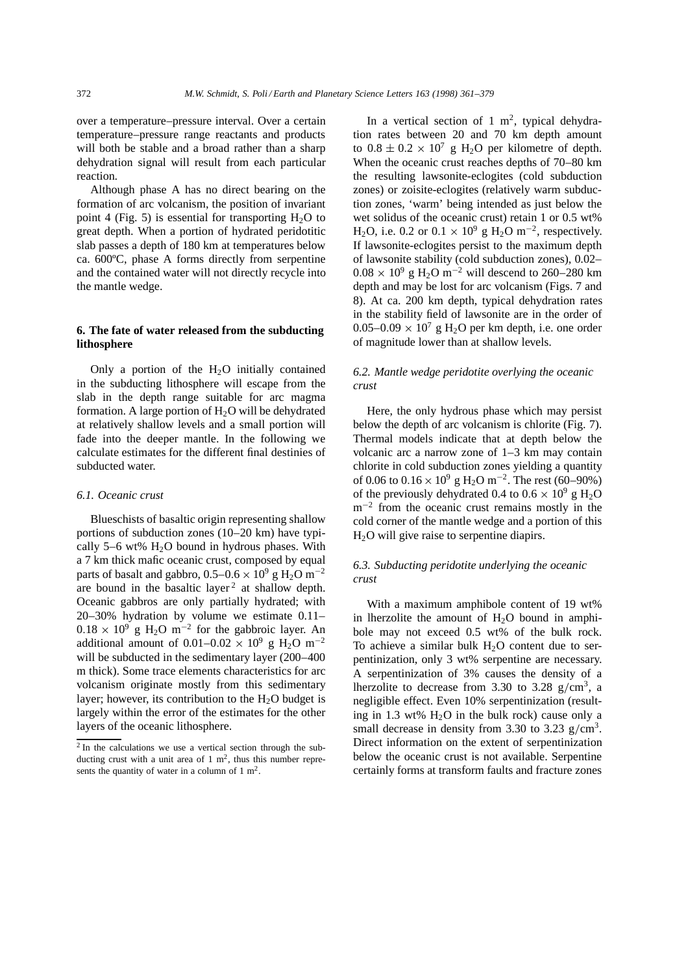over a temperature–pressure interval. Over a certain temperature–pressure range reactants and products will both be stable and a broad rather than a sharp dehydration signal will result from each particular reaction.

Although phase A has no direct bearing on the formation of arc volcanism, the position of invariant point 4 (Fig. 5) is essential for transporting  $H_2O$  to great depth. When a portion of hydrated peridotitic slab passes a depth of 180 km at temperatures below ca. 600ºC, phase A forms directly from serpentine and the contained water will not directly recycle into the mantle wedge.

## **6. The fate of water released from the subducting lithosphere**

Only a portion of the  $H_2O$  initially contained in the subducting lithosphere will escape from the slab in the depth range suitable for arc magma formation. A large portion of  $H_2O$  will be dehydrated at relatively shallow levels and a small portion will fade into the deeper mantle. In the following we calculate estimates for the different final destinies of subducted water.

## *6.1. Oceanic crust*

Blueschists of basaltic origin representing shallow portions of subduction zones (10–20 km) have typically 5–6 wt%  $H_2O$  bound in hydrous phases. With a 7 km thick mafic oceanic crust, composed by equal parts of basalt and gabbro,  $0.5-0.6 \times 10^9$  g H<sub>2</sub>O m<sup>-2</sup> are bound in the basaltic layer<sup>2</sup> at shallow depth. Oceanic gabbros are only partially hydrated; with 20–30% hydration by volume we estimate 0.11–  $0.18 \times 10^9$  g H<sub>2</sub>O m<sup>-2</sup> for the gabbroic layer. An additional amount of  $0.01-0.02 \times 10^9$  g H<sub>2</sub>O m<sup>-2</sup> will be subducted in the sedimentary layer (200–400 m thick). Some trace elements characteristics for arc volcanism originate mostly from this sedimentary layer; however, its contribution to the  $H_2O$  budget is largely within the error of the estimates for the other layers of the oceanic lithosphere.

In a vertical section of 1  $m^2$ , typical dehydration rates between 20 and 70 km depth amount to  $0.8 \pm 0.2 \times 10^7$  g H<sub>2</sub>O per kilometre of depth. When the oceanic crust reaches depths of 70–80 km the resulting lawsonite-eclogites (cold subduction zones) or zoisite-eclogites (relatively warm subduction zones, 'warm' being intended as just below the wet solidus of the oceanic crust) retain 1 or 0.5 wt% H<sub>2</sub>O, i.e. 0.2 or  $0.1 \times 10^9$  g H<sub>2</sub>O m<sup>-2</sup>, respectively. If lawsonite-eclogites persist to the maximum depth of lawsonite stability (cold subduction zones), 0.02–  $0.08 \times 10^9$  g H<sub>2</sub>O m<sup>-2</sup> will descend to 260–280 km depth and may be lost for arc volcanism (Figs. 7 and 8). At ca. 200 km depth, typical dehydration rates in the stability field of lawsonite are in the order of  $0.05-0.09 \times 10^7$  g H<sub>2</sub>O per km depth, i.e. one order of magnitude lower than at shallow levels.

## *6.2. Mantle wedge peridotite overlying the oceanic crust*

Here, the only hydrous phase which may persist below the depth of arc volcanism is chlorite (Fig. 7). Thermal models indicate that at depth below the volcanic arc a narrow zone of 1–3 km may contain chlorite in cold subduction zones yielding a quantity of 0.06 to  $0.16 \times 10^9$  g H<sub>2</sub>O m<sup>-2</sup>. The rest (60–90%) of the previously dehydrated 0.4 to  $0.6 \times 10^9$  g H<sub>2</sub>O  $m^{-2}$  from the oceanic crust remains mostly in the cold corner of the mantle wedge and a portion of this  $H<sub>2</sub>O$  will give raise to serpentine diapirs.

# *6.3. Subducting peridotite underlying the oceanic crust*

With a maximum amphibole content of 19 wt% in lherzolite the amount of  $H_2O$  bound in amphibole may not exceed 0.5 wt% of the bulk rock. To achieve a similar bulk  $H_2O$  content due to serpentinization, only 3 wt% serpentine are necessary. A serpentinization of 3% causes the density of a lherzolite to decrease from 3.30 to 3.28  $g/cm^3$ , a negligible effect. Even 10% serpentinization (resulting in 1.3 wt%  $H_2O$  in the bulk rock) cause only a small decrease in density from 3.30 to 3.23  $g/cm<sup>3</sup>$ . Direct information on the extent of serpentinization below the oceanic crust is not available. Serpentine certainly forms at transform faults and fracture zones

<sup>2</sup> In the calculations we use a vertical section through the subducting crust with a unit area of  $1 \text{ m}^2$ , thus this number represents the quantity of water in a column of  $1 \text{ m}^2$ .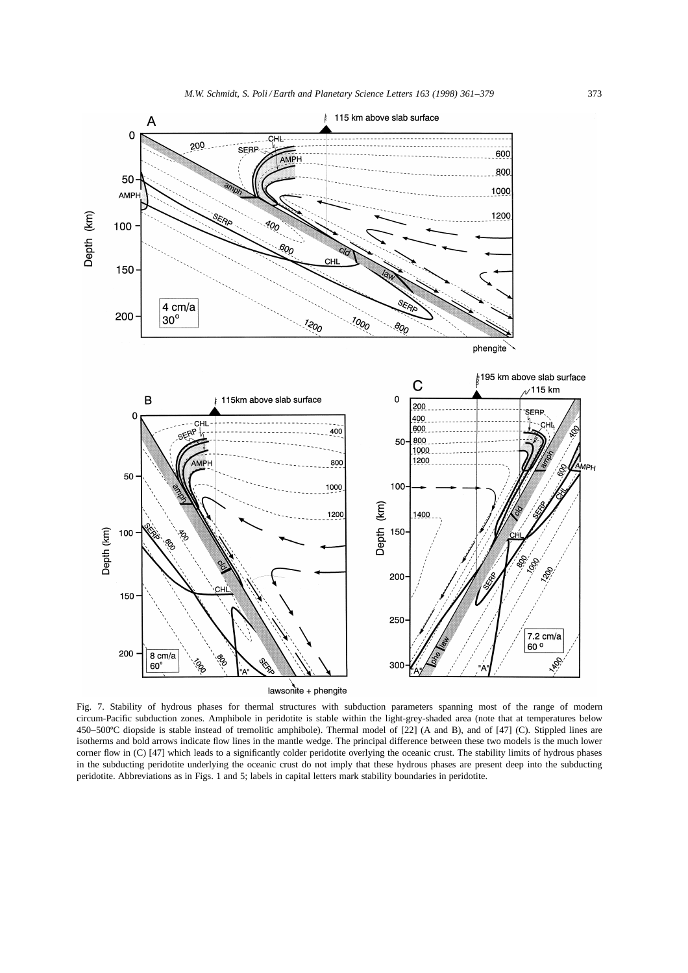

lawsonite + phengite

Fig. 7. Stability of hydrous phases for thermal structures with subduction parameters spanning most of the range of modern circum-Pacific subduction zones. Amphibole in peridotite is stable within the light-grey-shaded area (note that at temperatures below 450–500ºC diopside is stable instead of tremolitic amphibole). Thermal model of [22] (A and B), and of [47] (C). Stippled lines are isotherms and bold arrows indicate flow lines in the mantle wedge. The principal difference between these two models is the much lower corner flow in (C) [47] which leads to a significantly colder peridotite overlying the oceanic crust. The stability limits of hydrous phases in the subducting peridotite underlying the oceanic crust do not imply that these hydrous phases are present deep into the subducting peridotite. Abbreviations as in Figs. 1 and 5; labels in capital letters mark stability boundaries in peridotite.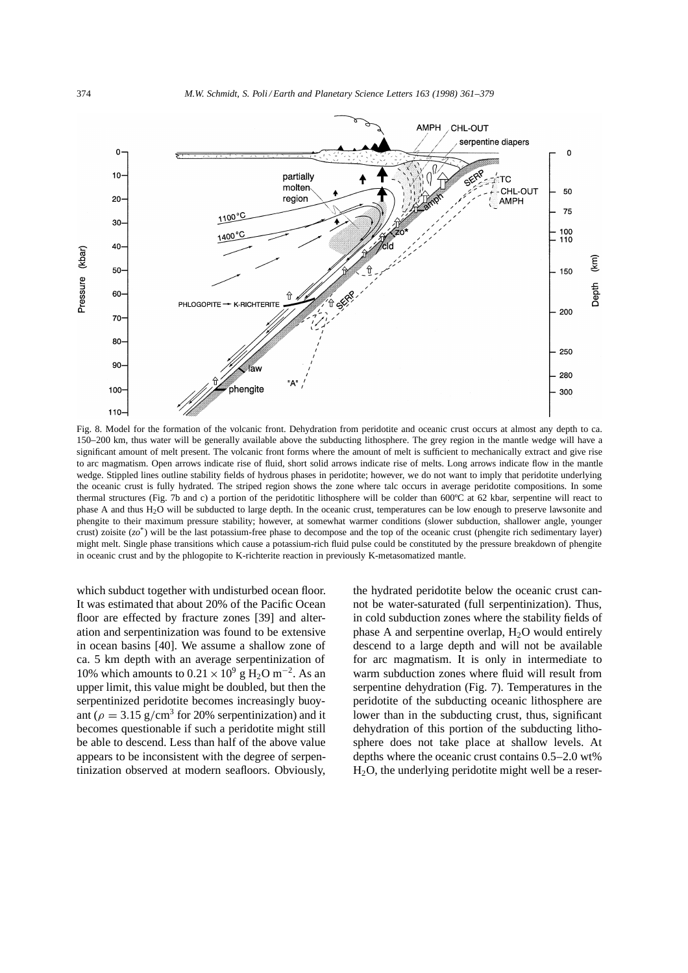

Fig. 8. Model for the formation of the volcanic front. Dehydration from peridotite and oceanic crust occurs at almost any depth to ca. 150–200 km, thus water will be generally available above the subducting lithosphere. The grey region in the mantle wedge will have a significant amount of melt present. The volcanic front forms where the amount of melt is sufficient to mechanically extract and give rise to arc magmatism. Open arrows indicate rise of fluid, short solid arrows indicate rise of melts. Long arrows indicate flow in the mantle wedge. Stippled lines outline stability fields of hydrous phases in peridotite; however, we do not want to imply that peridotite underlying the oceanic crust is fully hydrated. The striped region shows the zone where talc occurs in average peridotite compositions. In some thermal structures (Fig. 7b and c) a portion of the peridotitic lithosphere will be colder than 600ºC at 62 kbar, serpentine will react to phase A and thus H<sub>2</sub>O will be subducted to large depth. In the oceanic crust, temperatures can be low enough to preserve lawsonite and phengite to their maximum pressure stability; however, at somewhat warmer conditions (slower subduction, shallower angle, younger crust) zoisite (*zo*\*) will be the last potassium-free phase to decompose and the top of the oceanic crust (phengite rich sedimentary layer) might melt. Single phase transitions which cause a potassium-rich fluid pulse could be constituted by the pressure breakdown of phengite in oceanic crust and by the phlogopite to K-richterite reaction in previously K-metasomatized mantle.

which subduct together with undisturbed ocean floor. It was estimated that about 20% of the Pacific Ocean floor are effected by fracture zones [39] and alteration and serpentinization was found to be extensive in ocean basins [40]. We assume a shallow zone of ca. 5 km depth with an average serpentinization of 10% which amounts to  $0.21 \times 10^9$  g H<sub>2</sub>O m<sup>-2</sup>. As an upper limit, this value might be doubled, but then the serpentinized peridotite becomes increasingly buoyant ( $\rho = 3.15$  g/cm<sup>3</sup> for 20% serpentinization) and it becomes questionable if such a peridotite might still be able to descend. Less than half of the above value appears to be inconsistent with the degree of serpentinization observed at modern seafloors. Obviously,

the hydrated peridotite below the oceanic crust cannot be water-saturated (full serpentinization). Thus, in cold subduction zones where the stability fields of phase A and serpentine overlap,  $H_2O$  would entirely descend to a large depth and will not be available for arc magmatism. It is only in intermediate to warm subduction zones where fluid will result from serpentine dehydration (Fig. 7). Temperatures in the peridotite of the subducting oceanic lithosphere are lower than in the subducting crust, thus, significant dehydration of this portion of the subducting lithosphere does not take place at shallow levels. At depths where the oceanic crust contains 0.5–2.0 wt%  $H<sub>2</sub>O$ , the underlying peridotite might well be a reser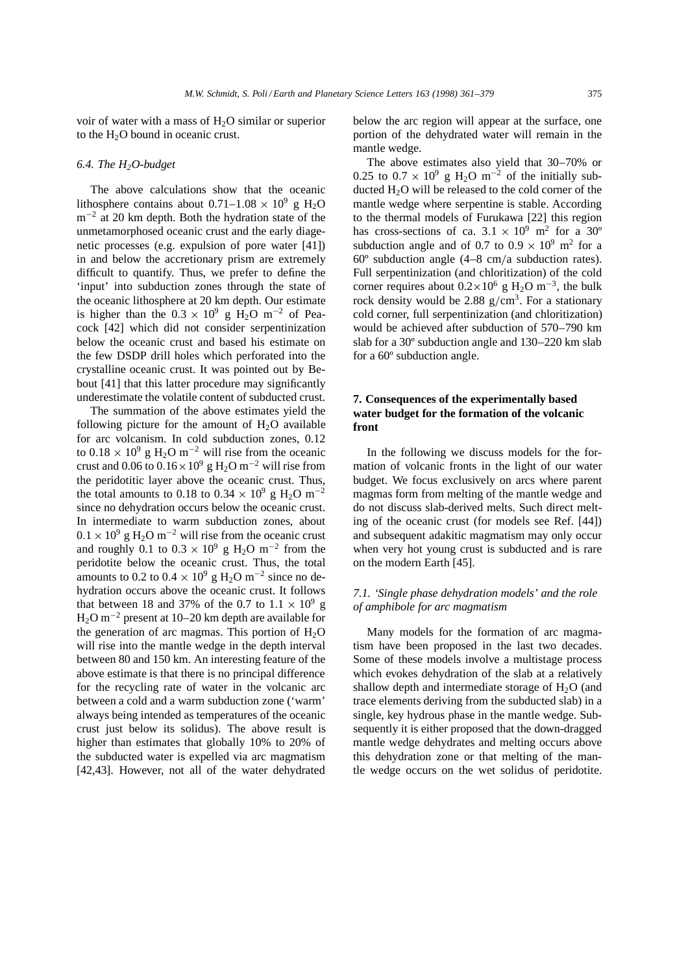voir of water with a mass of  $H_2O$  similar or superior to the  $H<sub>2</sub>O$  bound in oceanic crust.

## *6.4. The H2O-budget*

The above calculations show that the oceanic lithosphere contains about  $0.71-1.08 \times 10^9$  g H<sub>2</sub>O  $m^{-2}$  at 20 km depth. Both the hydration state of the unmetamorphosed oceanic crust and the early diagenetic processes (e.g. expulsion of pore water [41]) in and below the accretionary prism are extremely difficult to quantify. Thus, we prefer to define the 'input' into subduction zones through the state of the oceanic lithosphere at 20 km depth. Our estimate is higher than the  $0.3 \times 10^9$  g H<sub>2</sub>O m<sup>-2</sup> of Peacock [42] which did not consider serpentinization below the oceanic crust and based his estimate on the few DSDP drill holes which perforated into the crystalline oceanic crust. It was pointed out by Bebout [41] that this latter procedure may significantly underestimate the volatile content of subducted crust.

The summation of the above estimates yield the following picture for the amount of  $H<sub>2</sub>O$  available for arc volcanism. In cold subduction zones, 0.12 to  $0.18 \times 10^9$  g H<sub>2</sub>O m<sup>-2</sup> will rise from the oceanic crust and 0.06 to  $0.16 \times 10^9$  g H<sub>2</sub>O m<sup>-2</sup> will rise from the peridotitic layer above the oceanic crust. Thus, the total amounts to 0.18 to 0.34  $\times$  10<sup>9</sup> g H<sub>2</sub>O m<sup>-2</sup> since no dehydration occurs below the oceanic crust. In intermediate to warm subduction zones, about  $0.1 \times 10^9$  g H<sub>2</sub>O m<sup>-2</sup> will rise from the oceanic crust and roughly 0.1 to  $0.3 \times 10^9$  g H<sub>2</sub>O m<sup>-2</sup> from the peridotite below the oceanic crust. Thus, the total amounts to 0.2 to  $0.4 \times 10^9$  g H<sub>2</sub>O m<sup>-2</sup> since no dehydration occurs above the oceanic crust. It follows that between 18 and 37% of the 0.7 to  $1.1 \times 10^9$  g  $H_2O$  m<sup>-2</sup> present at 10–20 km depth are available for the generation of arc magmas. This portion of  $H_2O$ will rise into the mantle wedge in the depth interval between 80 and 150 km. An interesting feature of the above estimate is that there is no principal difference for the recycling rate of water in the volcanic arc between a cold and a warm subduction zone ('warm' always being intended as temperatures of the oceanic crust just below its solidus). The above result is higher than estimates that globally 10% to 20% of the subducted water is expelled via arc magmatism [42,43]. However, not all of the water dehydrated below the arc region will appear at the surface, one portion of the dehydrated water will remain in the mantle wedge.

The above estimates also yield that 30–70% or 0.25 to  $0.7 \times 10^9$  g H<sub>2</sub>O m<sup>-2</sup> of the initially subducted H<sub>2</sub>O will be released to the cold corner of the mantle wedge where serpentine is stable. According to the thermal models of Furukawa [22] this region has cross-sections of ca.  $3.1 \times 10^9$  m<sup>2</sup> for a 30<sup>o</sup> subduction angle and of 0.7 to  $0.9 \times 10^9$  m<sup>2</sup> for a  $60^\circ$  subduction angle  $(4-8 \text{ cm/a}$  subduction rates). Full serpentinization (and chloritization) of the cold corner requires about  $0.2 \times 10^6$  g H<sub>2</sub>O m<sup>-3</sup>, the bulk rock density would be 2.88  $g/cm<sup>3</sup>$ . For a stationary cold corner, full serpentinization (and chloritization) would be achieved after subduction of 570–790 km slab for a 30º subduction angle and 130–220 km slab for a 60º subduction angle.

# **7. Consequences of the experimentally based water budget for the formation of the volcanic front**

In the following we discuss models for the formation of volcanic fronts in the light of our water budget. We focus exclusively on arcs where parent magmas form from melting of the mantle wedge and do not discuss slab-derived melts. Such direct melting of the oceanic crust (for models see Ref. [44]) and subsequent adakitic magmatism may only occur when very hot young crust is subducted and is rare on the modern Earth [45].

# *7.1. 'Single phase dehydration models' and the role of amphibole for arc magmatism*

Many models for the formation of arc magmatism have been proposed in the last two decades. Some of these models involve a multistage process which evokes dehydration of the slab at a relatively shallow depth and intermediate storage of  $H_2O$  (and trace elements deriving from the subducted slab) in a single, key hydrous phase in the mantle wedge. Subsequently it is either proposed that the down-dragged mantle wedge dehydrates and melting occurs above this dehydration zone or that melting of the mantle wedge occurs on the wet solidus of peridotite.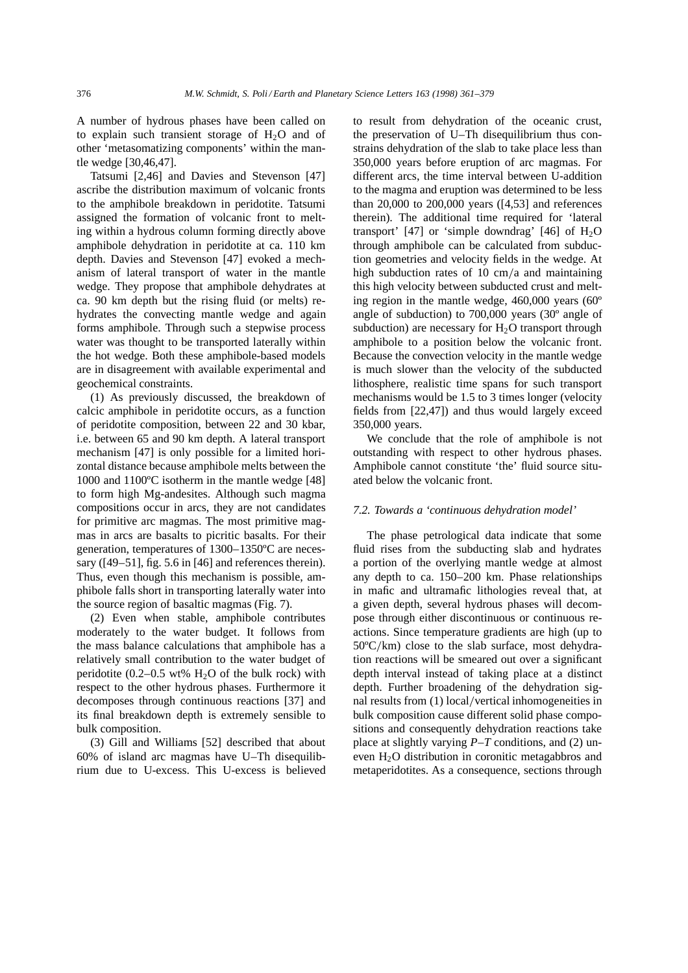A number of hydrous phases have been called on to explain such transient storage of  $H_2O$  and of other 'metasomatizing components' within the mantle wedge [30,46,47].

Tatsumi [2,46] and Davies and Stevenson [47] ascribe the distribution maximum of volcanic fronts to the amphibole breakdown in peridotite. Tatsumi assigned the formation of volcanic front to melting within a hydrous column forming directly above amphibole dehydration in peridotite at ca. 110 km depth. Davies and Stevenson [47] evoked a mechanism of lateral transport of water in the mantle wedge. They propose that amphibole dehydrates at ca. 90 km depth but the rising fluid (or melts) rehydrates the convecting mantle wedge and again forms amphibole. Through such a stepwise process water was thought to be transported laterally within the hot wedge. Both these amphibole-based models are in disagreement with available experimental and geochemical constraints.

(1) As previously discussed, the breakdown of calcic amphibole in peridotite occurs, as a function of peridotite composition, between 22 and 30 kbar, i.e. between 65 and 90 km depth. A lateral transport mechanism [47] is only possible for a limited horizontal distance because amphibole melts between the 1000 and 1100ºC isotherm in the mantle wedge [48] to form high Mg-andesites. Although such magma compositions occur in arcs, they are not candidates for primitive arc magmas. The most primitive magmas in arcs are basalts to picritic basalts. For their generation, temperatures of 1300–1350ºC are necessary ([49–51], fig. 5.6 in [46] and references therein). Thus, even though this mechanism is possible, amphibole falls short in transporting laterally water into the source region of basaltic magmas (Fig. 7).

(2) Even when stable, amphibole contributes moderately to the water budget. It follows from the mass balance calculations that amphibole has a relatively small contribution to the water budget of peridotite (0.2–0.5 wt%  $H_2O$  of the bulk rock) with respect to the other hydrous phases. Furthermore it decomposes through continuous reactions [37] and its final breakdown depth is extremely sensible to bulk composition.

(3) Gill and Williams [52] described that about 60% of island arc magmas have U–Th disequilibrium due to U-excess. This U-excess is believed to result from dehydration of the oceanic crust, the preservation of U–Th disequilibrium thus constrains dehydration of the slab to take place less than 350,000 years before eruption of arc magmas. For different arcs, the time interval between U-addition to the magma and eruption was determined to be less than 20,000 to 200,000 years ([4,53] and references therein). The additional time required for 'lateral transport' [47] or 'simple downdrag' [46] of  $H_2O$ through amphibole can be calculated from subduction geometries and velocity fields in the wedge. At high subduction rates of 10 cm/a and maintaining this high velocity between subducted crust and melting region in the mantle wedge, 460,000 years (60º angle of subduction) to 700,000 years (30º angle of subduction) are necessary for  $H_2O$  transport through amphibole to a position below the volcanic front. Because the convection velocity in the mantle wedge is much slower than the velocity of the subducted lithosphere, realistic time spans for such transport mechanisms would be 1.5 to 3 times longer (velocity fields from [22,47]) and thus would largely exceed 350,000 years.

We conclude that the role of amphibole is not outstanding with respect to other hydrous phases. Amphibole cannot constitute 'the' fluid source situated below the volcanic front.

#### *7.2. Towards a 'continuous dehydration model'*

The phase petrological data indicate that some fluid rises from the subducting slab and hydrates a portion of the overlying mantle wedge at almost any depth to ca. 150–200 km. Phase relationships in mafic and ultramafic lithologies reveal that, at a given depth, several hydrous phases will decompose through either discontinuous or continuous reactions. Since temperature gradients are high (up to  $50^{\circ}$ C/km) close to the slab surface, most dehydration reactions will be smeared out over a significant depth interval instead of taking place at a distinct depth. Further broadening of the dehydration signal results from (1) local/vertical inhomogeneities in bulk composition cause different solid phase compositions and consequently dehydration reactions take place at slightly varying *P–T* conditions, and (2) uneven H2O distribution in coronitic metagabbros and metaperidotites. As a consequence, sections through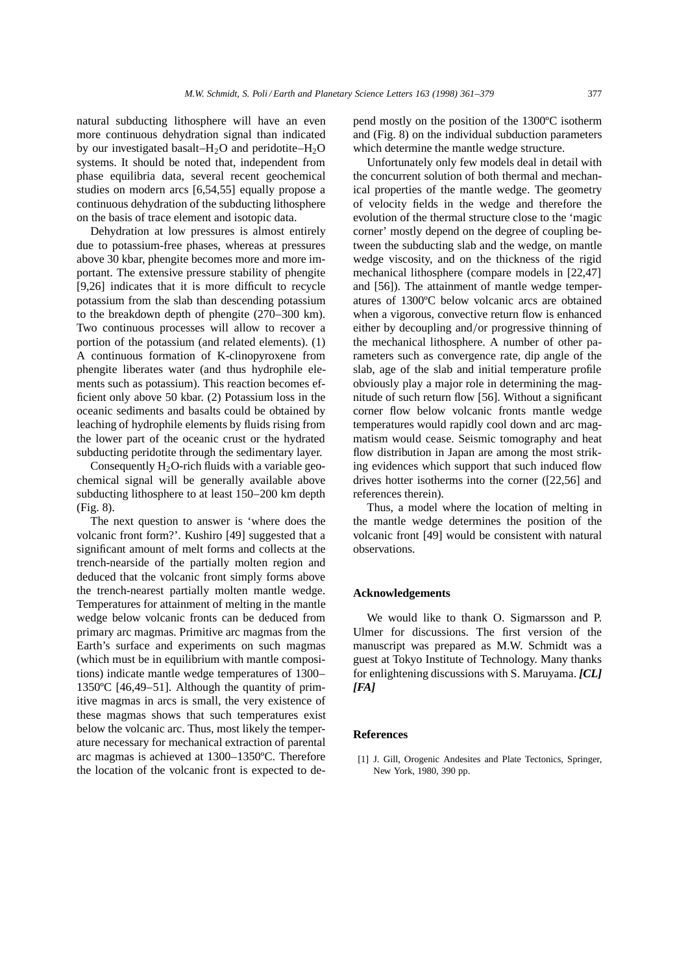natural subducting lithosphere will have an even more continuous dehydration signal than indicated by our investigated basalt– $H_2O$  and peridotite– $H_2O$ systems. It should be noted that, independent from phase equilibria data, several recent geochemical studies on modern arcs [6,54,55] equally propose a continuous dehydration of the subducting lithosphere on the basis of trace element and isotopic data.

Dehydration at low pressures is almost entirely due to potassium-free phases, whereas at pressures above 30 kbar, phengite becomes more and more important. The extensive pressure stability of phengite [9,26] indicates that it is more difficult to recycle potassium from the slab than descending potassium to the breakdown depth of phengite (270–300 km). Two continuous processes will allow to recover a portion of the potassium (and related elements). (1) A continuous formation of K-clinopyroxene from phengite liberates water (and thus hydrophile elements such as potassium). This reaction becomes efficient only above 50 kbar. (2) Potassium loss in the oceanic sediments and basalts could be obtained by leaching of hydrophile elements by fluids rising from the lower part of the oceanic crust or the hydrated subducting peridotite through the sedimentary layer.

Consequently  $H_2O$ -rich fluids with a variable geochemical signal will be generally available above subducting lithosphere to at least 150–200 km depth (Fig. 8).

The next question to answer is 'where does the volcanic front form?'. Kushiro [49] suggested that a significant amount of melt forms and collects at the trench-nearside of the partially molten region and deduced that the volcanic front simply forms above the trench-nearest partially molten mantle wedge. Temperatures for attainment of melting in the mantle wedge below volcanic fronts can be deduced from primary arc magmas. Primitive arc magmas from the Earth's surface and experiments on such magmas (which must be in equilibrium with mantle compositions) indicate mantle wedge temperatures of 1300– 1350ºC [46,49–51]. Although the quantity of primitive magmas in arcs is small, the very existence of these magmas shows that such temperatures exist below the volcanic arc. Thus, most likely the temperature necessary for mechanical extraction of parental arc magmas is achieved at 1300–1350ºC. Therefore the location of the volcanic front is expected to depend mostly on the position of the 1300ºC isotherm and (Fig. 8) on the individual subduction parameters which determine the mantle wedge structure.

Unfortunately only few models deal in detail with the concurrent solution of both thermal and mechanical properties of the mantle wedge. The geometry of velocity fields in the wedge and therefore the evolution of the thermal structure close to the 'magic corner' mostly depend on the degree of coupling between the subducting slab and the wedge, on mantle wedge viscosity, and on the thickness of the rigid mechanical lithosphere (compare models in [22,47] and [56]). The attainment of mantle wedge temperatures of 1300ºC below volcanic arcs are obtained when a vigorous, convective return flow is enhanced either by decoupling and/or progressive thinning of the mechanical lithosphere. A number of other parameters such as convergence rate, dip angle of the slab, age of the slab and initial temperature profile obviously play a major role in determining the magnitude of such return flow [56]. Without a significant corner flow below volcanic fronts mantle wedge temperatures would rapidly cool down and arc magmatism would cease. Seismic tomography and heat flow distribution in Japan are among the most striking evidences which support that such induced flow drives hotter isotherms into the corner ([22,56] and references therein).

Thus, a model where the location of melting in the mantle wedge determines the position of the volcanic front [49] would be consistent with natural observations.

## **Acknowledgements**

We would like to thank O. Sigmarsson and P. Ulmer for discussions. The first version of the manuscript was prepared as M.W. Schmidt was a guest at Tokyo Institute of Technology. Many thanks for enlightening discussions with S. Maruyama. *[CL] [FA]*

#### **References**

[1] J. Gill, Orogenic Andesites and Plate Tectonics, Springer, New York, 1980, 390 pp.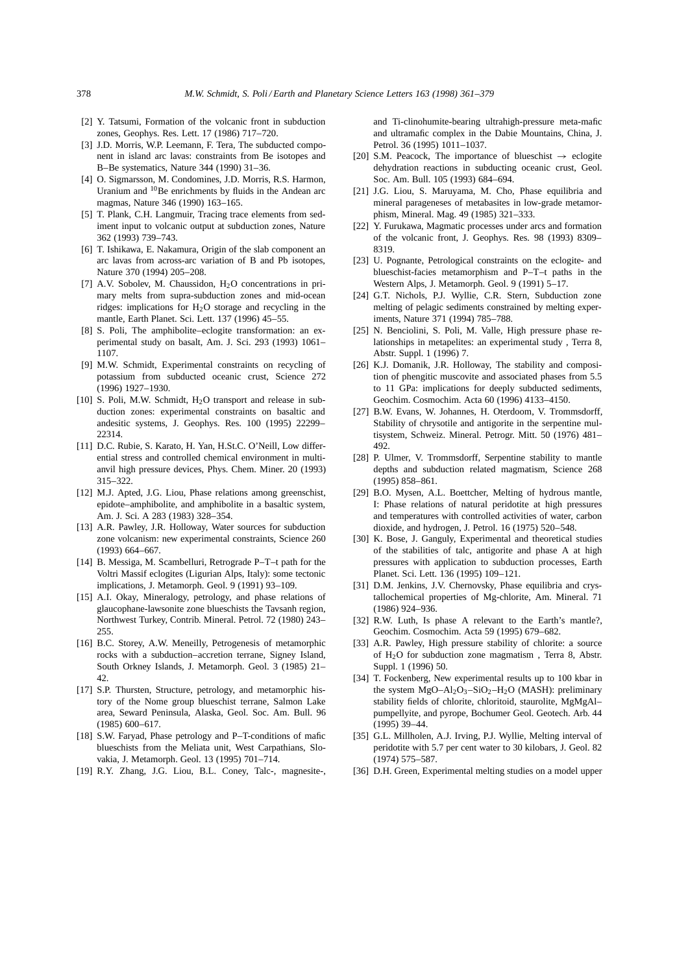- [2] Y. Tatsumi, Formation of the volcanic front in subduction zones, Geophys. Res. Lett. 17 (1986) 717–720.
- [3] J.D. Morris, W.P. Leemann, F. Tera, The subducted component in island arc lavas: constraints from Be isotopes and B–Be systematics, Nature 344 (1990) 31–36.
- [4] O. Sigmarsson, M. Condomines, J.D. Morris, R.S. Harmon, Uranium and <sup>10</sup>Be enrichments by fluids in the Andean arc magmas, Nature 346 (1990) 163–165.
- [5] T. Plank, C.H. Langmuir, Tracing trace elements from sediment input to volcanic output at subduction zones, Nature 362 (1993) 739–743.
- [6] T. Ishikawa, E. Nakamura, Origin of the slab component an arc lavas from across-arc variation of B and Pb isotopes, Nature 370 (1994) 205–208.
- [7] A.V. Sobolev, M. Chaussidon, H<sub>2</sub>O concentrations in primary melts from supra-subduction zones and mid-ocean ridges: implications for  $H_2O$  storage and recycling in the mantle, Earth Planet. Sci. Lett. 137 (1996) 45–55.
- [8] S. Poli, The amphibolite–eclogite transformation: an experimental study on basalt, Am. J. Sci. 293 (1993) 1061– 1107.
- [9] M.W. Schmidt, Experimental constraints on recycling of potassium from subducted oceanic crust, Science 272 (1996) 1927–1930.
- [10] S. Poli, M.W. Schmidt, H<sub>2</sub>O transport and release in subduction zones: experimental constraints on basaltic and andesitic systems, J. Geophys. Res. 100 (1995) 22299– 22314.
- [11] D.C. Rubie, S. Karato, H. Yan, H.St.C. O'Neill, Low differential stress and controlled chemical environment in multianvil high pressure devices, Phys. Chem. Miner. 20 (1993) 315–322.
- [12] M.J. Apted, J.G. Liou, Phase relations among greenschist, epidote–amphibolite, and amphibolite in a basaltic system, Am. J. Sci. A 283 (1983) 328–354.
- [13] A.R. Pawley, J.R. Holloway, Water sources for subduction zone volcanism: new experimental constraints, Science 260 (1993) 664–667.
- [14] B. Messiga, M. Scambelluri, Retrograde P–T–t path for the Voltri Massif eclogites (Ligurian Alps, Italy): some tectonic implications, J. Metamorph. Geol. 9 (1991) 93–109.
- [15] A.I. Okay, Mineralogy, petrology, and phase relations of glaucophane-lawsonite zone blueschists the Tavsanh region, Northwest Turkey, Contrib. Mineral. Petrol. 72 (1980) 243– 255.
- [16] B.C. Storey, A.W. Meneilly, Petrogenesis of metamorphic rocks with a subduction–accretion terrane, Signey Island, South Orkney Islands, J. Metamorph. Geol. 3 (1985) 21– 42.
- [17] S.P. Thursten, Structure, petrology, and metamorphic history of the Nome group blueschist terrane, Salmon Lake area, Seward Peninsula, Alaska, Geol. Soc. Am. Bull. 96 (1985) 600–617.
- [18] S.W. Faryad, Phase petrology and P–T-conditions of mafic blueschists from the Meliata unit, West Carpathians, Slovakia, J. Metamorph. Geol. 13 (1995) 701–714.
- [19] R.Y. Zhang, J.G. Liou, B.L. Coney, Talc-, magnesite-,

and Ti-clinohumite-bearing ultrahigh-pressure meta-mafic and ultramafic complex in the Dabie Mountains, China, J. Petrol. 36 (1995) 1011–1037.

- [20] S.M. Peacock, The importance of blueschist  $\rightarrow$  eclogite dehydration reactions in subducting oceanic crust, Geol. Soc. Am. Bull. 105 (1993) 684–694.
- [21] J.G. Liou, S. Maruyama, M. Cho, Phase equilibria and mineral parageneses of metabasites in low-grade metamorphism, Mineral. Mag. 49 (1985) 321–333.
- [22] Y. Furukawa, Magmatic processes under arcs and formation of the volcanic front, J. Geophys. Res. 98 (1993) 8309– 8319.
- [23] U. Pognante, Petrological constraints on the eclogite- and blueschist-facies metamorphism and P–T–t paths in the Western Alps, J. Metamorph. Geol. 9 (1991) 5–17.
- [24] G.T. Nichols, P.J. Wyllie, C.R. Stern, Subduction zone melting of pelagic sediments constrained by melting experiments, Nature 371 (1994) 785–788.
- [25] N. Benciolini, S. Poli, M. Valle, High pressure phase relationships in metapelites: an experimental study , Terra 8, Abstr. Suppl. 1 (1996) 7.
- [26] K.J. Domanik, J.R. Holloway, The stability and composition of phengitic muscovite and associated phases from 5.5 to 11 GPa: implications for deeply subducted sediments, Geochim. Cosmochim. Acta 60 (1996) 4133–4150.
- [27] B.W. Evans, W. Johannes, H. Oterdoom, V. Trommsdorff, Stability of chrysotile and antigorite in the serpentine multisystem, Schweiz. Mineral. Petrogr. Mitt. 50 (1976) 481– 492.
- [28] P. Ulmer, V. Trommsdorff, Serpentine stability to mantle depths and subduction related magmatism, Science 268 (1995) 858–861.
- [29] B.O. Mysen, A.L. Boettcher, Melting of hydrous mantle, I: Phase relations of natural peridotite at high pressures and temperatures with controlled activities of water, carbon dioxide, and hydrogen, J. Petrol. 16 (1975) 520–548.
- [30] K. Bose, J. Ganguly, Experimental and theoretical studies of the stabilities of talc, antigorite and phase A at high pressures with application to subduction processes, Earth Planet. Sci. Lett. 136 (1995) 109–121.
- [31] D.M. Jenkins, J.V. Chernovsky, Phase equilibria and crystallochemical properties of Mg-chlorite, Am. Mineral. 71 (1986) 924–936.
- [32] R.W. Luth, Is phase A relevant to the Earth's mantle?, Geochim. Cosmochim. Acta 59 (1995) 679–682.
- [33] A.R. Pawley, High pressure stability of chlorite: a source of H2O for subduction zone magmatism , Terra 8, Abstr. Suppl. 1 (1996) 50.
- [34] T. Fockenberg, New experimental results up to 100 kbar in the system  $MgO-Al_2O_3-SiO_2-H_2O$  (MASH): preliminary stability fields of chlorite, chloritoid, staurolite, MgMgAl– pumpellyite, and pyrope, Bochumer Geol. Geotech. Arb. 44 (1995) 39–44.
- [35] G.L. Millholen, A.J. Irving, P.J. Wyllie, Melting interval of peridotite with 5.7 per cent water to 30 kilobars, J. Geol. 82 (1974) 575–587.
- [36] D.H. Green, Experimental melting studies on a model upper